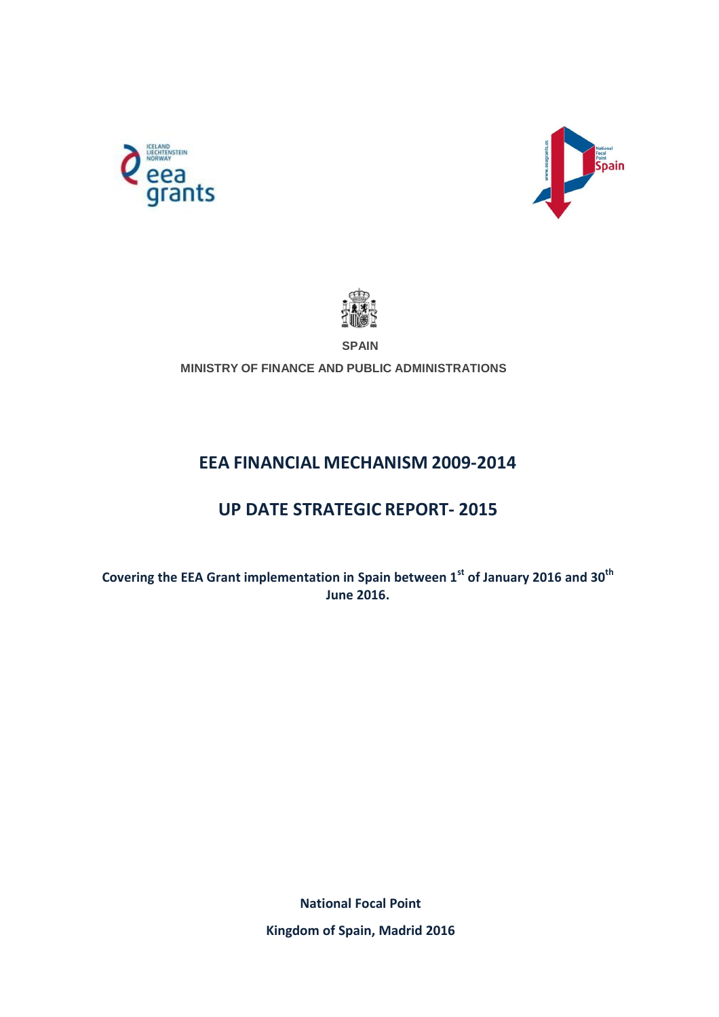





**SPAIN**

**MINISTRY OF FINANCE AND PUBLIC ADMINISTRATIONS**

# **EEA FINANCIAL MECHANISM 2009-2014**

# **UP DATE STRATEGIC REPORT- 2015**

**Covering the EEA Grant implementation in Spain between 1st of January 2016 and 30th June 2016.**

> **National Focal Point Kingdom of Spain, Madrid 2016**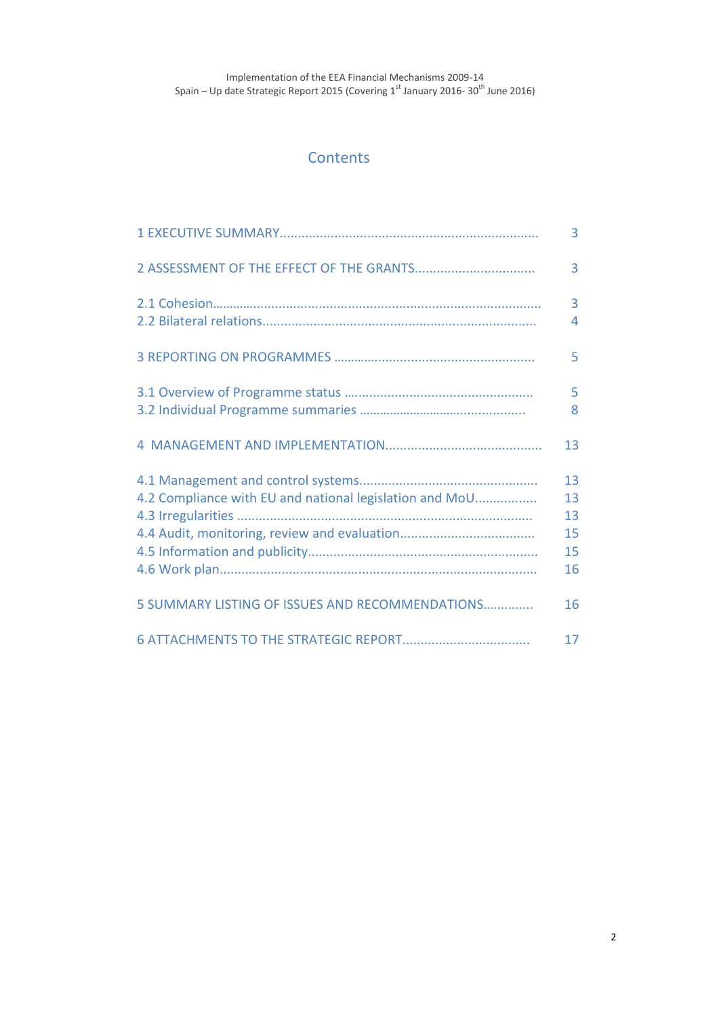## **Contents**

|                                                         | 3                                |
|---------------------------------------------------------|----------------------------------|
|                                                         | 3                                |
|                                                         | 3<br>4                           |
|                                                         | 5                                |
|                                                         | 5<br>8                           |
|                                                         | 13                               |
| 4.2 Compliance with EU and national legislation and MoU | 13<br>13<br>13<br>15<br>15<br>16 |
| 5 SUMMARY LISTING OF ISSUES AND RECOMMENDATIONS         | 16                               |
|                                                         | 17                               |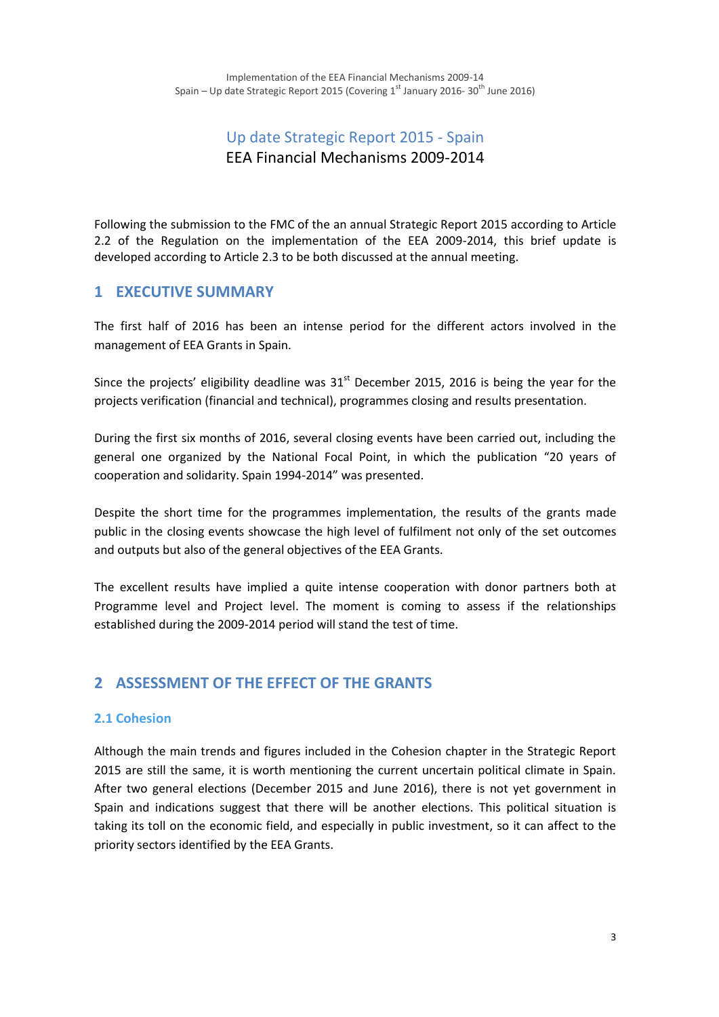# Up date Strategic Report 2015 - Spain EEA Financial Mechanisms 2009-2014

Following the submission to the FMC of the an annual Strategic Report 2015 according to Article 2.2 of the Regulation on the implementation of the EEA 2009-2014, this brief update is developed according to Article 2.3 to be both discussed at the annual meeting.

## **1 EXECUTIVE SUMMARY**

The first half of 2016 has been an intense period for the different actors involved in the management of EEA Grants in Spain.

Since the projects' eligibility deadline was  $31<sup>st</sup>$  December 2015, 2016 is being the year for the projects verification (financial and technical), programmes closing and results presentation.

During the first six months of 2016, several closing events have been carried out, including the general one organized by the National Focal Point, in which the publication "20 years of cooperation and solidarity. Spain 1994-2014" was presented.

Despite the short time for the programmes implementation, the results of the grants made public in the closing events showcase the high level of fulfilment not only of the set outcomes and outputs but also of the general objectives of the EEA Grants.

The excellent results have implied a quite intense cooperation with donor partners both at Programme level and Project level. The moment is coming to assess if the relationships established during the 2009-2014 period will stand the test of time.

## **2 ASSESSMENT OF THE EFFECT OF THE GRANTS**

### **2.1 Cohesion**

Although the main trends and figures included in the Cohesion chapter in the Strategic Report 2015 are still the same, it is worth mentioning the current uncertain political climate in Spain. After two general elections (December 2015 and June 2016), there is not yet government in Spain and indications suggest that there will be another elections. This political situation is taking its toll on the economic field, and especially in public investment, so it can affect to the priority sectors identified by the EEA Grants.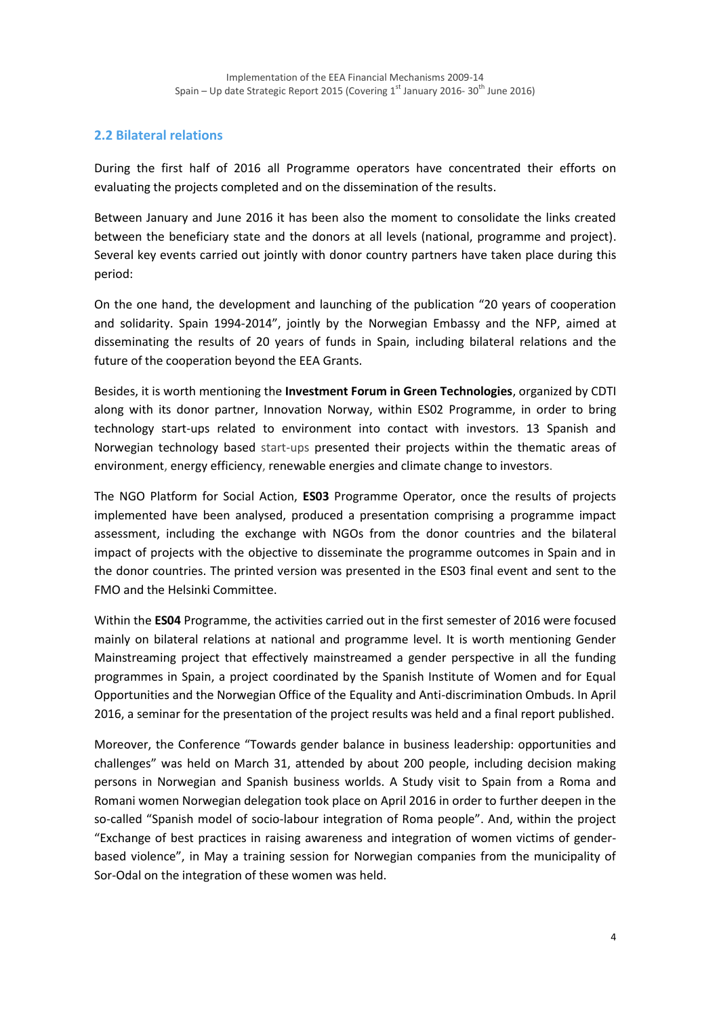## **2.2 Bilateral relations**

During the first half of 2016 all Programme operators have concentrated their efforts on evaluating the projects completed and on the dissemination of the results.

Between January and June 2016 it has been also the moment to consolidate the links created between the beneficiary state and the donors at all levels (national, programme and project). Several key events carried out jointly with donor country partners have taken place during this period:

On the one hand, the development and launching of the publication "20 years of cooperation and solidarity. Spain 1994-2014", jointly by the Norwegian Embassy and the NFP, aimed at disseminating the results of 20 years of funds in Spain, including bilateral relations and the future of the cooperation beyond the EEA Grants.

Besides, it is worth mentioning the **Investment Forum in Green Technologies**, organized by CDTI along with its donor partner, Innovation Norway, within ES02 Programme, in order to bring technology start-ups related to environment into contact with investors. 13 Spanish and Norwegian technology based start-ups presented their projects within the thematic areas of environment, energy efficiency, renewable energies and climate change to investors.

The NGO Platform for Social Action, **ES03** Programme Operator, once the results of projects implemented have been analysed, produced a presentation comprising a programme impact assessment, including the exchange with NGOs from the donor countries and the bilateral impact of projects with the objective to disseminate the programme outcomes in Spain and in the donor countries. The printed version was presented in the ES03 final event and sent to the FMO and the Helsinki Committee.

Within the **ES04** Programme, the activities carried out in the first semester of 2016 were focused mainly on bilateral relations at national and programme level. It is worth mentioning Gender Mainstreaming project that effectively mainstreamed a gender perspective in all the funding programmes in Spain, a project coordinated by the Spanish Institute of Women and for Equal Opportunities and the Norwegian Office of the Equality and Anti-discrimination Ombuds. In April 2016, a seminar for the presentation of the project results was held and a final report published.

Moreover, the Conference "Towards gender balance in business leadership: opportunities and challenges" was held on March 31, attended by about 200 people, including decision making persons in Norwegian and Spanish business worlds. A Study visit to Spain from a Roma and Romani women Norwegian delegation took place on April 2016 in order to further deepen in the so-called "Spanish model of socio-labour integration of Roma people". And, within the project "Exchange of best practices in raising awareness and integration of women victims of genderbased violence", in May a training session for Norwegian companies from the municipality of Sor-Odal on the integration of these women was held.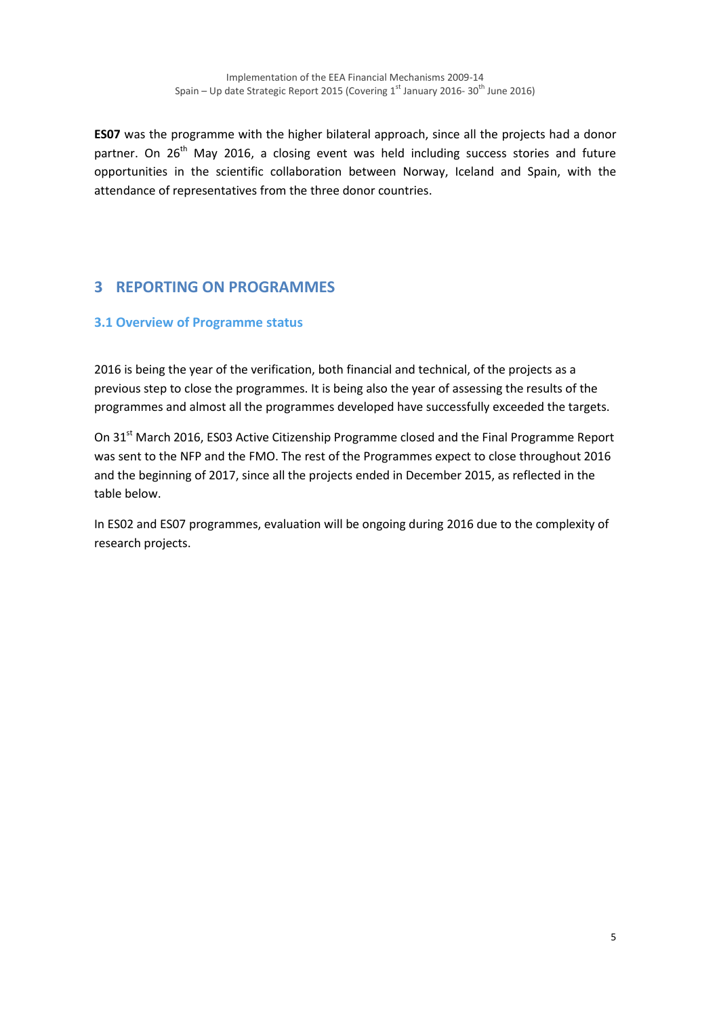**ES07** was the programme with the higher bilateral approach, since all the projects had a donor partner. On 26<sup>th</sup> May 2016, a closing event was held including success stories and future opportunities in the scientific collaboration between Norway, Iceland and Spain, with the attendance of representatives from the three donor countries.

# **3 REPORTING ON PROGRAMMES**

### **3.1 Overview of Programme status**

2016 is being the year of the verification, both financial and technical, of the projects as a previous step to close the programmes. It is being also the year of assessing the results of the programmes and almost all the programmes developed have successfully exceeded the targets.

On 31<sup>st</sup> March 2016, ES03 Active Citizenship Programme closed and the Final Programme Report was sent to the NFP and the FMO. The rest of the Programmes expect to close throughout 2016 and the beginning of 2017, since all the projects ended in December 2015, as reflected in the table below.

In ES02 and ES07 programmes, evaluation will be ongoing during 2016 due to the complexity of research projects.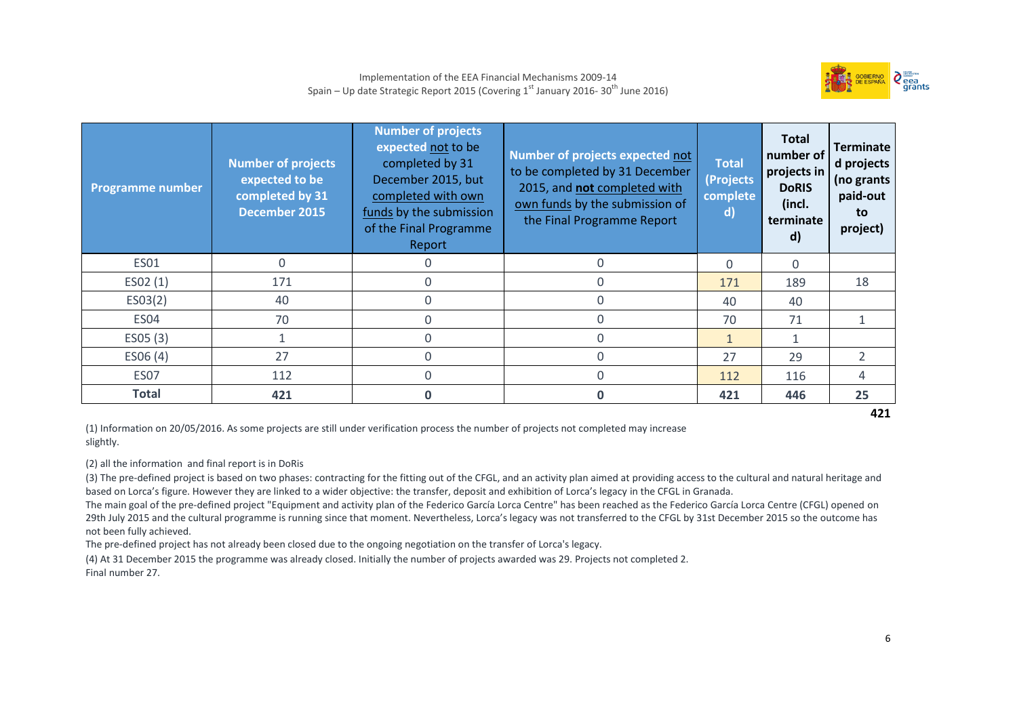

| <b>Programme number</b> | <b>Number of projects</b><br>expected to be<br>completed by 31<br><b>December 2015</b> | <b>Number of projects</b><br>expected not to be<br>completed by 31<br>December 2015, but<br>completed with own<br>funds by the submission<br>of the Final Programme<br>Report | Number of projects expected not<br>to be completed by 31 December<br>2015, and not completed with<br>own funds by the submission of<br>the Final Programme Report | <b>Total</b><br>(Projects<br>complete<br>$\mathsf{d}$ | <b>Total</b><br>number of<br>projects in<br><b>DoRIS</b><br>(incl.<br>terminate<br>$\mathsf{d}$ | <b>Terminate</b><br>d projects<br>(no grants<br>paid-out<br>to<br>project) |
|-------------------------|----------------------------------------------------------------------------------------|-------------------------------------------------------------------------------------------------------------------------------------------------------------------------------|-------------------------------------------------------------------------------------------------------------------------------------------------------------------|-------------------------------------------------------|-------------------------------------------------------------------------------------------------|----------------------------------------------------------------------------|
| <b>ES01</b>             | 0                                                                                      |                                                                                                                                                                               | $\Omega$                                                                                                                                                          | $\Omega$                                              | $\Omega$                                                                                        |                                                                            |
| ESO2(1)                 | 171                                                                                    |                                                                                                                                                                               | $\Omega$                                                                                                                                                          | 171                                                   | 189                                                                                             | 18                                                                         |
| ESO3(2)                 | 40                                                                                     |                                                                                                                                                                               | 0                                                                                                                                                                 | 40                                                    | 40                                                                                              |                                                                            |
| ES <sub>04</sub>        | 70                                                                                     |                                                                                                                                                                               | $\Omega$                                                                                                                                                          | 70                                                    | 71                                                                                              |                                                                            |
| ES05 (3)                |                                                                                        |                                                                                                                                                                               | $\Omega$                                                                                                                                                          | $\mathbf{1}$                                          |                                                                                                 |                                                                            |
| ES06(4)                 | 27                                                                                     |                                                                                                                                                                               | $\Omega$                                                                                                                                                          | 27                                                    | 29                                                                                              | $\overline{2}$                                                             |
| ES07                    | 112                                                                                    |                                                                                                                                                                               | $\Omega$                                                                                                                                                          | 112                                                   | 116                                                                                             | 4                                                                          |
| Total                   | 421                                                                                    |                                                                                                                                                                               | U                                                                                                                                                                 | 421                                                   | 446                                                                                             | 25                                                                         |

**421**

(1) Information on 20/05/2016. As some projects are still under verification process the number of projects not completed may increase slightly.

(2) all the information and final report is in DoRis

(3) The pre-defined project is based on two phases: contracting for the fitting out of the CFGL, and an activity plan aimed at providing access to the cultural and natural heritage and based on Lorca's figure. However they are linked to a wider objective: the transfer, deposit and exhibition of Lorca's legacy in the CFGL in Granada.

The main goal of the pre-defined project "Equipment and activity plan of the Federico García Lorca Centre" has been reached as the Federico García Lorca Centre (CFGL) opened on 29th July 2015 and the cultural programme is running since that moment. Nevertheless, Lorca's legacy was not transferred to the CFGL by 31st December 2015 so the outcome has not been fully achieved.

The pre-defined project has not already been closed due to the ongoing negotiation on the transfer of Lorca's legacy.

(4) At 31 December 2015 the programme was already closed. Initially the number of projects awarded was 29. Projects not completed 2. Final number 27.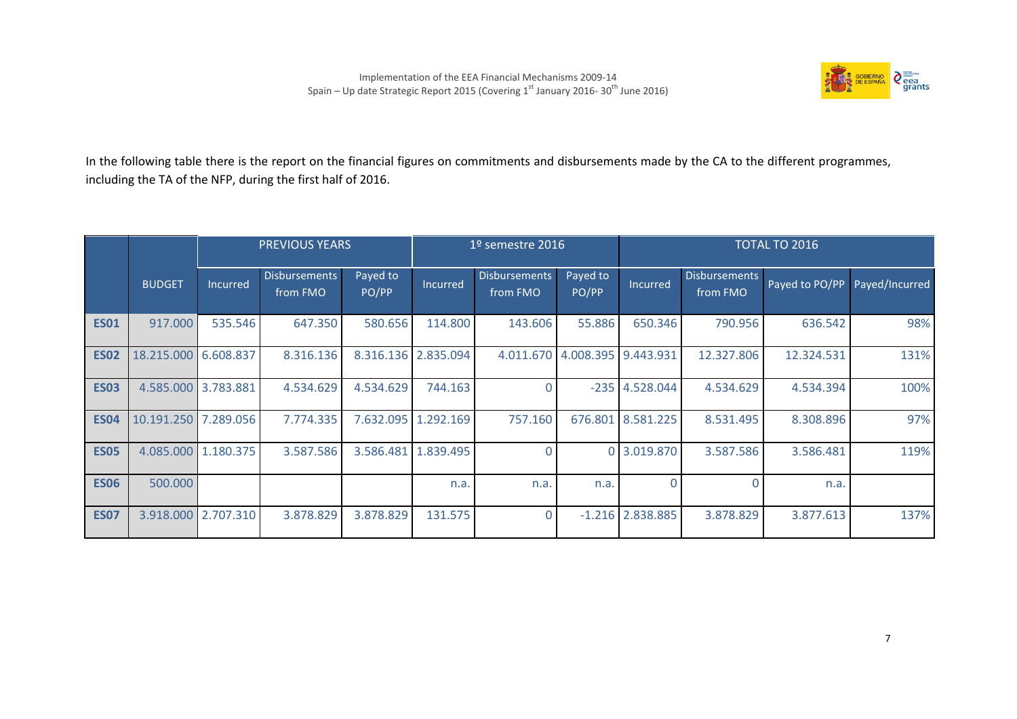

In the following table there is the report on the financial figures on commitments and disbursements made by the CA to the different programmes, including the TA of the NFP, during the first half of 2016.

|             |                      |                     | <b>PREVIOUS YEARS</b>            |                   | $19$ semestre 2016  |                                  |                               |                    |                                  | <b>TOTAL TO 2016</b> |                |
|-------------|----------------------|---------------------|----------------------------------|-------------------|---------------------|----------------------------------|-------------------------------|--------------------|----------------------------------|----------------------|----------------|
|             | <b>BUDGET</b>        | Incurred            | <b>Disbursements</b><br>from FMO | Payed to<br>PO/PP | Incurred            | <b>Disbursements</b><br>from FMO | Payed to<br>PO/PP             | Incurred           | <b>Disbursements</b><br>from FMO | Payed to PO/PP       | Payed/Incurred |
| <b>ES01</b> | 917.000              | 535.546             | 647.350                          | 580.656           | 114.800             | 143.606                          | 55.886                        | 650.346            | 790.956                          | 636.542              | 98%            |
| <b>ES02</b> | 18.215.000 6.608.837 |                     | 8.316.136                        |                   | 8.316.136 2.835.094 |                                  | 4.011.670 4.008.395 9.443.931 |                    | 12.327.806                       | 12.324.531           | 131%           |
| <b>ES03</b> | 4.585.000 3.783.881  |                     | 4.534.629                        | 4.534.629         | 744.163             |                                  | $-235$                        | 4.528.044          | 4.534.629                        | 4.534.394            | 100%           |
| <b>ES04</b> | 10.191.250 7.289.056 |                     | 7.774.335                        | 7.632.095         | 1.292.169           | 757.160                          | 676.801                       | 8.581.225          | 8.531.495                        | 8.308.896            | 97%            |
| <b>ES05</b> |                      | 4.085.000 1.180.375 | 3.587.586                        | 3.586.481         | 1.839.495           | $\Omega$                         |                               | 0 3.019.870        | 3.587.586                        | 3.586.481            | 119%           |
| <b>ES06</b> | 500.000              |                     |                                  |                   | n.a.                | n.a.                             | n.a.                          | O                  |                                  | n.a.                 |                |
| <b>ES07</b> |                      | 3.918.000 2.707.310 | 3.878.829                        | 3.878.829         | 131.575             | $\overline{0}$                   |                               | $-1.216$ 2.838.885 | 3.878.829                        | 3.877.613            | 137%           |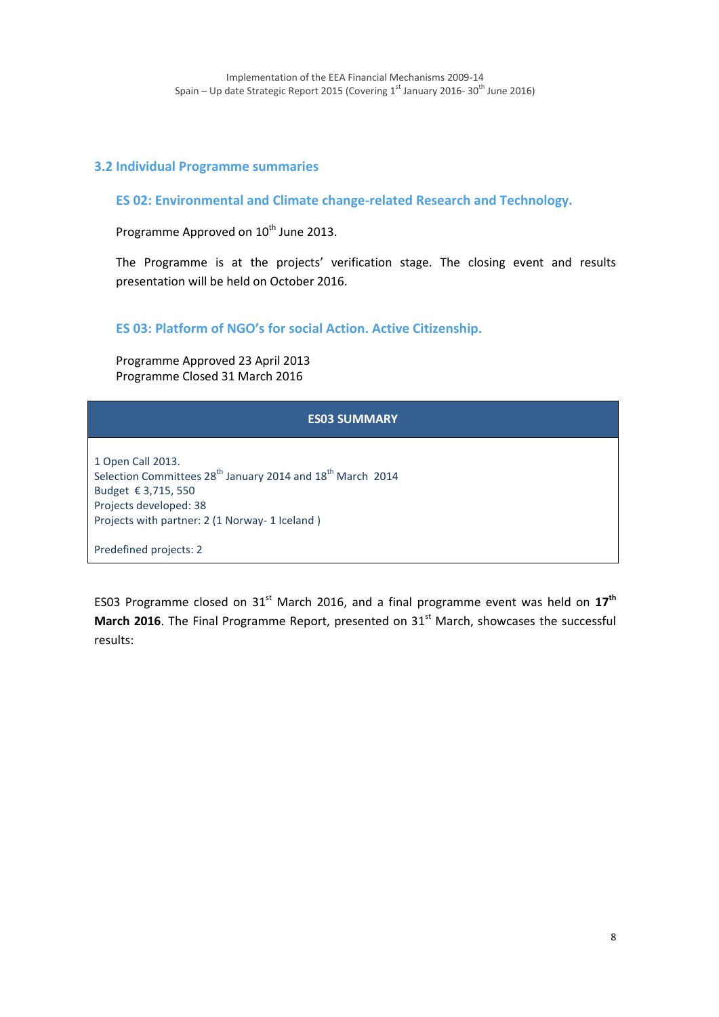### **3.2 Individual Programme summaries**

**ES 02: Environmental and Climate change-related Research and Technology.** 

Programme Approved on 10<sup>th</sup> June 2013.

The Programme is at the projects' verification stage. The closing event and results presentation will be held on October 2016.

**ES 03: Platform of NGO's for social Action. Active Citizenship.**

Programme Approved 23 April 2013 Programme Closed 31 March 2016

| <b>ES03 SUMMARY</b>                                                                                                                                                                                        |
|------------------------------------------------------------------------------------------------------------------------------------------------------------------------------------------------------------|
| 1 Open Call 2013.<br>Selection Committees 28 <sup>th</sup> January 2014 and 18 <sup>th</sup> March 2014<br>Budget € 3,715, 550<br>Projects developed: 38<br>Projects with partner: 2 (1 Norway- 1 Iceland) |
| Predefined projects: 2                                                                                                                                                                                     |

ES03 Programme closed on 31st March 2016, and a final programme event was held on **17th March 2016**. The Final Programme Report, presented on 31<sup>st</sup> March, showcases the successful results: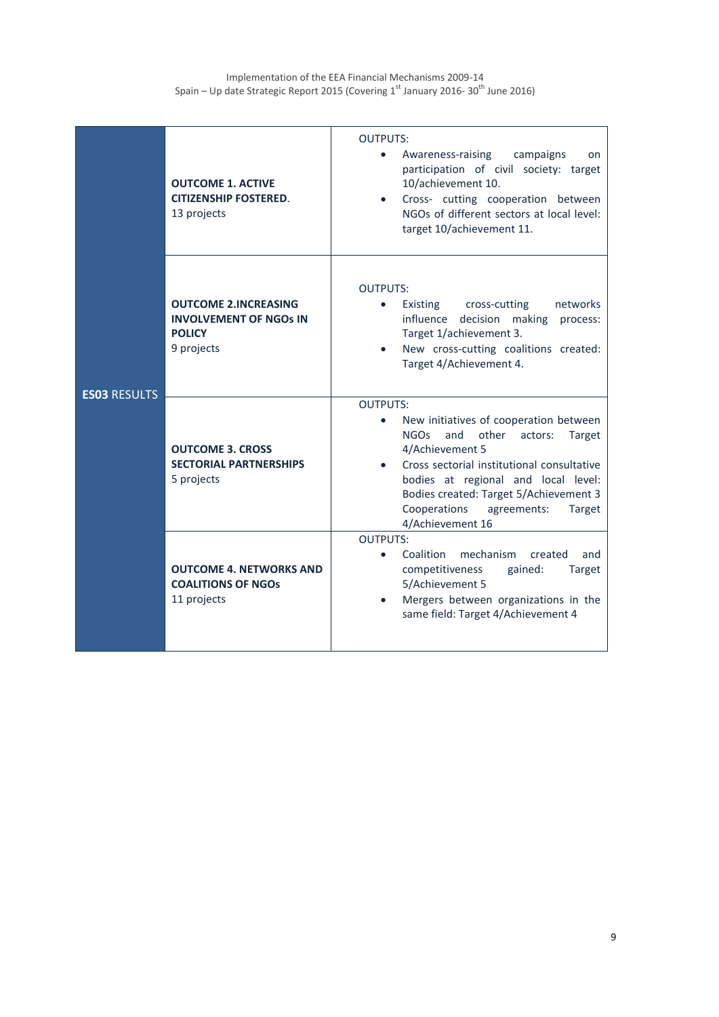| <b>ES03 RESULTS</b> | <b>OUTCOME 1. ACTIVE</b><br><b>CITIZENSHIP FOSTERED.</b><br>13 projects                     | <b>OUTPUTS:</b><br>Awareness-raising<br>campaigns<br>on<br>participation of civil<br>society: target<br>10/achievement 10.<br>Cross- cutting cooperation between<br>NGOs of different sectors at local level:<br>target 10/achievement 11.                                                                                                       |
|---------------------|---------------------------------------------------------------------------------------------|--------------------------------------------------------------------------------------------------------------------------------------------------------------------------------------------------------------------------------------------------------------------------------------------------------------------------------------------------|
|                     | <b>OUTCOME 2.INCREASING</b><br><b>INVOLVEMENT OF NGOS IN</b><br><b>POLICY</b><br>9 projects | <b>OUTPUTS:</b><br>cross-cutting<br>networks<br>Existing<br>$\bullet$<br>influence<br>decision<br>making<br>process:<br>Target 1/achievement 3.<br>New cross-cutting coalitions created:<br>Target 4/Achievement 4.                                                                                                                              |
|                     | <b>OUTCOME 3. CROSS</b><br><b>SECTORIAL PARTNERSHIPS</b><br>5 projects                      | <b>OUTPUTS:</b><br>New initiatives of cooperation between<br>$\bullet$<br><b>NGOs</b><br>and<br>other<br>actors:<br>Target<br>4/Achievement 5<br>Cross sectorial institutional consultative<br>bodies at regional and local level:<br>Bodies created: Target 5/Achievement 3<br>Cooperations<br>agreements:<br><b>Target</b><br>4/Achievement 16 |
|                     | <b>OUTCOME 4. NETWORKS AND</b><br><b>COALITIONS OF NGOS</b><br>11 projects                  | <b>OUTPUTS:</b><br>mechanism<br>Coalition<br>created<br>and<br>$\bullet$<br>competitiveness<br>gained:<br><b>Target</b><br>5/Achievement 5<br>Mergers between organizations in the<br>same field: Target 4/Achievement 4                                                                                                                         |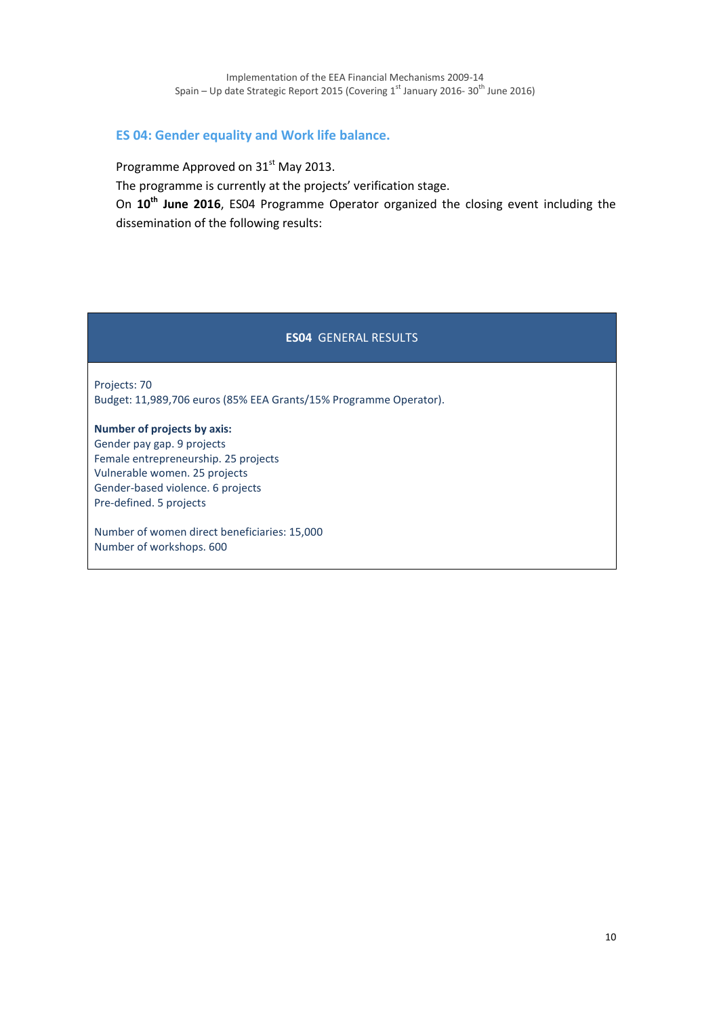### **ES 04: Gender equality and Work life balance.**

Programme Approved on 31<sup>st</sup> May 2013.

The programme is currently at the projects' verification stage.

On **10th June 2016**, ES04 Programme Operator organized the closing event including the dissemination of the following results:

### **ES04** GENERAL RESULTS

Projects: 70 Budget: 11,989,706 euros (85% EEA Grants/15% Programme Operator).

**Number of projects by axis:** Gender pay gap. 9 projects Female entrepreneurship. 25 projects Vulnerable women. 25 projects Gender-based violence. 6 projects Pre-defined. 5 projects

Number of women direct beneficiaries: 15,000 Number of workshops. 600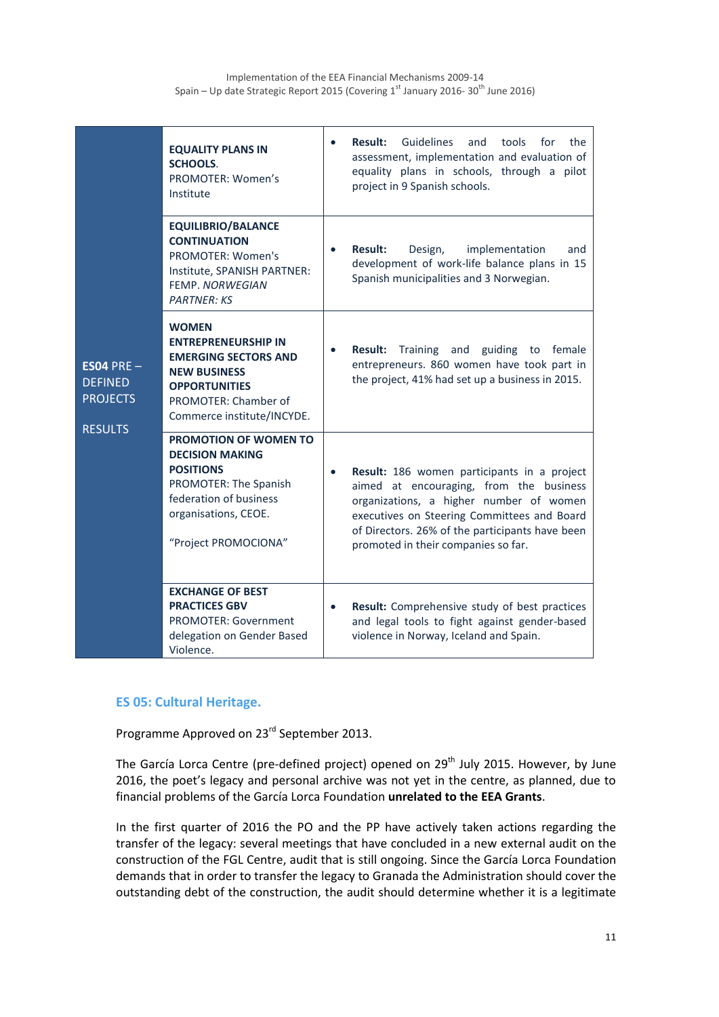| $ES04 PRE -$<br><b>DEFINED</b><br><b>PROJECTS</b><br><b>RESULTS</b> | <b>EQUALITY PLANS IN</b><br><b>SCHOOLS.</b><br>PROMOTER: Women's<br>Institute                                                                                                  | $\bullet$ | <b>Result:</b><br><b>Guidelines</b><br>and<br>tools<br>for<br>the<br>assessment, implementation and evaluation of<br>equality plans in schools, through a pilot<br>project in 9 Spanish schools.                                                                           |
|---------------------------------------------------------------------|--------------------------------------------------------------------------------------------------------------------------------------------------------------------------------|-----------|----------------------------------------------------------------------------------------------------------------------------------------------------------------------------------------------------------------------------------------------------------------------------|
|                                                                     | <b>EQUILIBRIO/BALANCE</b><br><b>CONTINUATION</b><br><b>PROMOTER: Women's</b><br>Institute, SPANISH PARTNER:<br><b>FEMP, NORWEGIAN</b><br><b>PARTNER: KS</b>                    | $\bullet$ | <b>Result:</b><br>Design,<br>implementation<br>and<br>development of work-life balance plans in 15<br>Spanish municipalities and 3 Norwegian.                                                                                                                              |
|                                                                     | <b>WOMEN</b><br><b>ENTREPRENEURSHIP IN</b><br><b>EMERGING SECTORS AND</b><br><b>NEW BUSINESS</b><br><b>OPPORTUNITIES</b><br>PROMOTER: Chamber of<br>Commerce institute/INCYDE. | $\bullet$ | <b>Result:</b><br>Training and<br>guiding<br>to<br>female<br>entrepreneurs. 860 women have took part in<br>the project, 41% had set up a business in 2015.                                                                                                                 |
|                                                                     | <b>PROMOTION OF WOMEN TO</b><br><b>DECISION MAKING</b><br><b>POSITIONS</b><br>PROMOTER: The Spanish<br>federation of business<br>organisations, CEOE.<br>"Project PROMOCIONA"  | $\bullet$ | Result: 186 women participants in a project<br>aimed at encouraging, from the business<br>organizations, a higher number of women<br>executives on Steering Committees and Board<br>of Directors. 26% of the participants have been<br>promoted in their companies so far. |
|                                                                     | <b>EXCHANGE OF BEST</b><br><b>PRACTICES GBV</b><br><b>PROMOTER: Government</b><br>delegation on Gender Based<br>Violence.                                                      | $\bullet$ | Result: Comprehensive study of best practices<br>and legal tools to fight against gender-based<br>violence in Norway, Iceland and Spain.                                                                                                                                   |

### **ES 05: Cultural Heritage.**

Programme Approved on 23rd September 2013.

The García Lorca Centre (pre-defined project) opened on 29<sup>th</sup> July 2015. However, by June 2016, the poet's legacy and personal archive was not yet in the centre, as planned, due to financial problems of the García Lorca Foundation **unrelated to the EEA Grants**.

In the first quarter of 2016 the PO and the PP have actively taken actions regarding the transfer of the legacy: several meetings that have concluded in a new external audit on the construction of the FGL Centre, audit that is still ongoing. Since the García Lorca Foundation demands that in order to transfer the legacy to Granada the Administration should cover the outstanding debt of the construction, the audit should determine whether it is a legitimate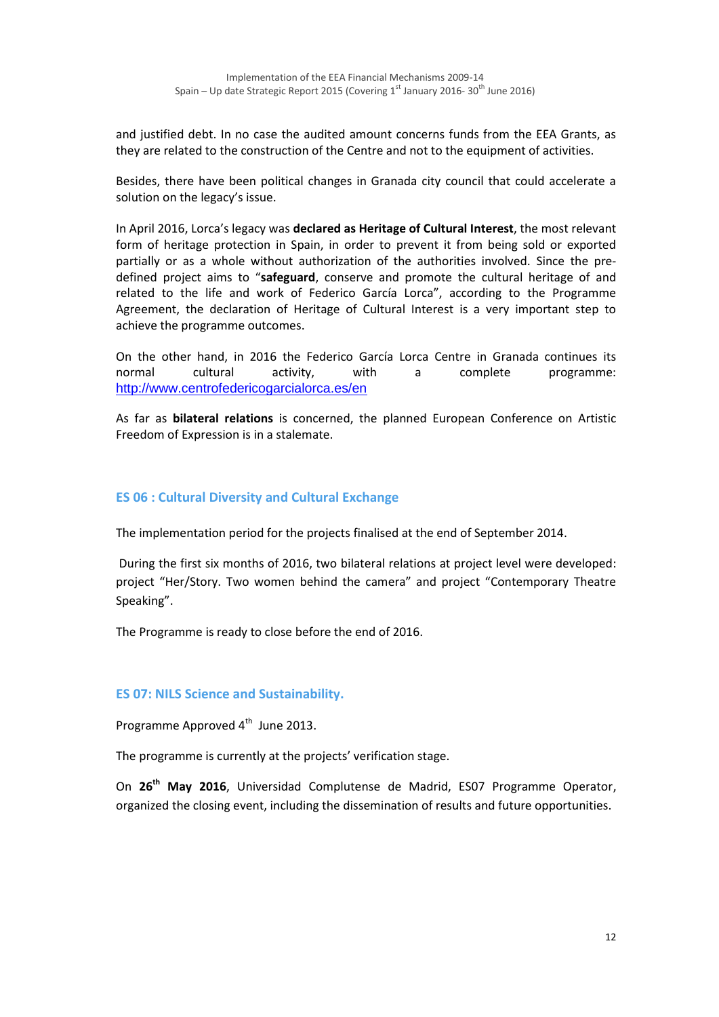and justified debt. In no case the audited amount concerns funds from the EEA Grants, as they are related to the construction of the Centre and not to the equipment of activities.

Besides, there have been political changes in Granada city council that could accelerate a solution on the legacy's issue.

In April 2016, Lorca's legacy was **declared as Heritage of Cultural Interest**, the most relevant form of heritage protection in Spain, in order to prevent it from being sold or exported partially or as a whole without authorization of the authorities involved. Since the predefined project aims to "**safeguard**, conserve and promote the cultural heritage of and related to the life and work of Federico García Lorca", according to the Programme Agreement, the declaration of Heritage of Cultural Interest is a very important step to achieve the programme outcomes.

On the other hand, in 2016 the Federico García Lorca Centre in Granada continues its normal cultural activity, with a complete programme: <http://www.centrofedericogarcialorca.es/en>

As far as **bilateral relations** is concerned, the planned European Conference on Artistic Freedom of Expression is in a stalemate.

### **ES 06 : Cultural Diversity and Cultural Exchange**

The implementation period for the projects finalised at the end of September 2014.

During the first six months of 2016, two bilateral relations at project level were developed: project "Her/Story. Two women behind the camera" and project "Contemporary Theatre Speaking".

The Programme is ready to close before the end of 2016.

### **ES 07: NILS Science and Sustainability.**

Programme Approved 4<sup>th</sup> June 2013.

The programme is currently at the projects' verification stage.

On **26th May 2016**, Universidad Complutense de Madrid, ES07 Programme Operator, organized the closing event, including the dissemination of results and future opportunities.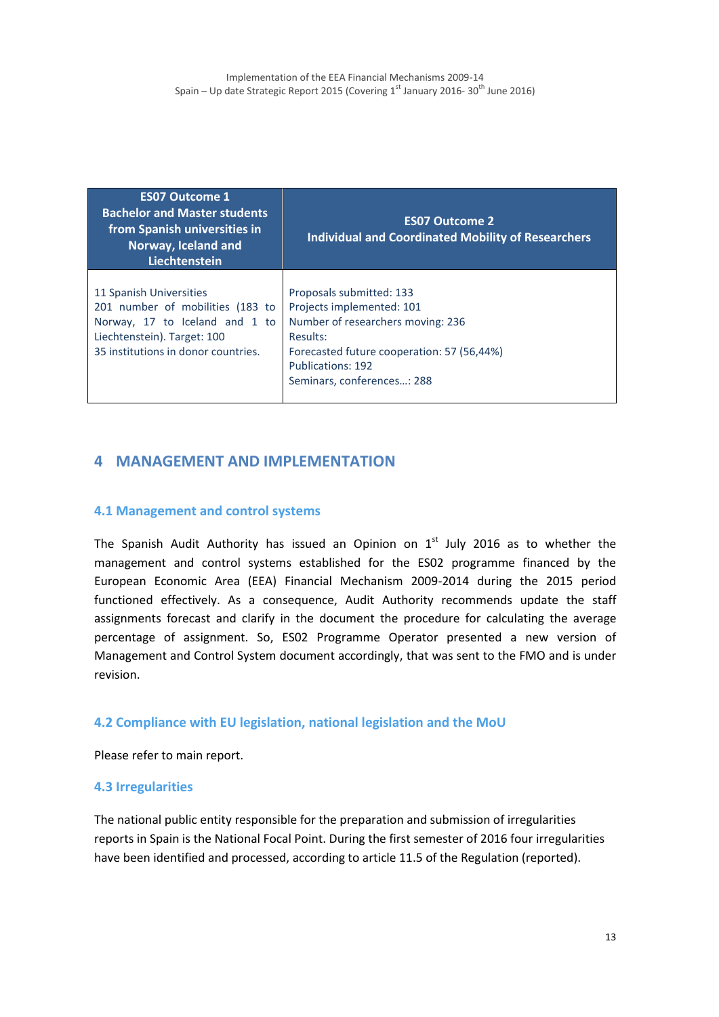| <b>ES07 Outcome 1</b><br><b>Bachelor and Master students</b><br>from Spanish universities in<br>Norway, Iceland and<br>Liechtenstein                                | <b>ES07 Outcome 2</b><br><b>Individual and Coordinated Mobility of Researchers</b>                                                                                                                             |  |  |  |
|---------------------------------------------------------------------------------------------------------------------------------------------------------------------|----------------------------------------------------------------------------------------------------------------------------------------------------------------------------------------------------------------|--|--|--|
| 11 Spanish Universities<br>201 number of mobilities (183 to<br>Norway, 17 to Iceland and 1 to<br>Liechtenstein). Target: 100<br>35 institutions in donor countries. | Proposals submitted: 133<br>Projects implemented: 101<br>Number of researchers moving: 236<br>Results:<br>Forecasted future cooperation: 57 (56,44%)<br><b>Publications: 192</b><br>Seminars, conferences: 288 |  |  |  |

## **4 MANAGEMENT AND IMPLEMENTATION**

#### **4.1 Management and control systems**

The Spanish Audit Authority has issued an Opinion on  $1<sup>st</sup>$  July 2016 as to whether the management and control systems established for the ES02 programme financed by the European Economic Area (EEA) Financial Mechanism 2009-2014 during the 2015 period functioned effectively. As a consequence, Audit Authority recommends update the staff assignments forecast and clarify in the document the procedure for calculating the average percentage of assignment. So, ES02 Programme Operator presented a new version of Management and Control System document accordingly, that was sent to the FMO and is under revision.

#### **4.2 Compliance with EU legislation, national legislation and the MoU**

Please refer to main report.

#### **4.3 Irregularities**

The national public entity responsible for the preparation and submission of irregularities reports in Spain is the National Focal Point. During the first semester of 2016 four irregularities have been identified and processed, according to article 11.5 of the Regulation (reported).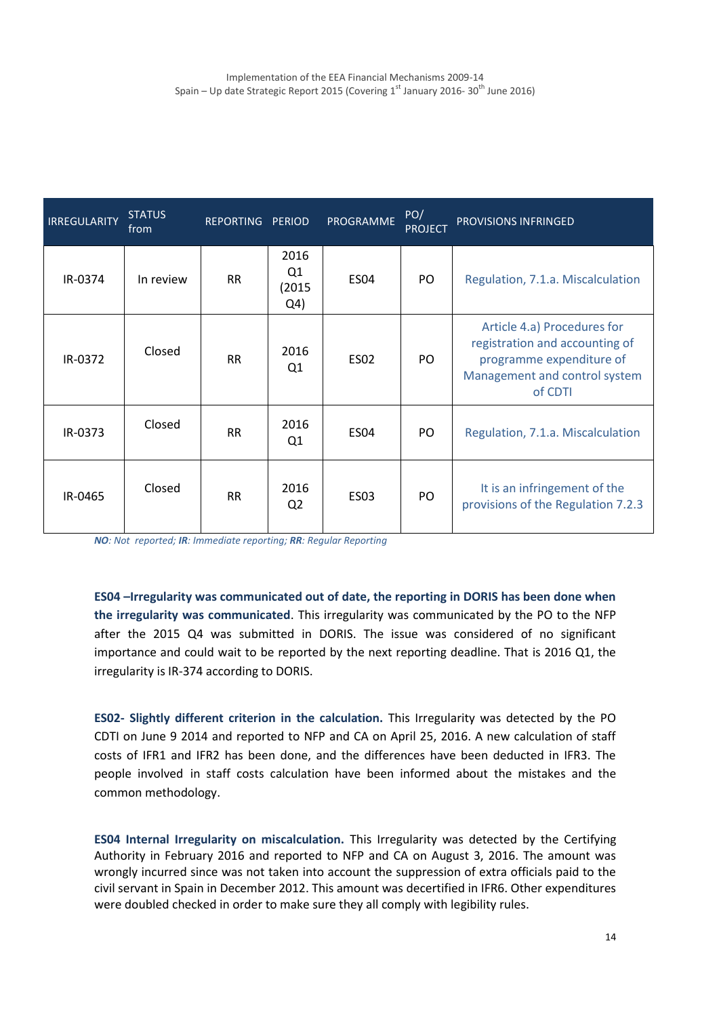| <b>IRREGULARITY</b> | <b>STATUS</b><br>from | REPORTING PERIOD |                                                    | PROGRAMME   | PO/<br><b>PROJECT</b> | <b>PROVISIONS INFRINGED</b>                                                                                                           |
|---------------------|-----------------------|------------------|----------------------------------------------------|-------------|-----------------------|---------------------------------------------------------------------------------------------------------------------------------------|
| IR-0374             | In review             | <b>RR</b>        | 2016<br>Q <sub>1</sub><br>(2015)<br>Q <sub>4</sub> | <b>ES04</b> | PO.                   | Regulation, 7.1.a. Miscalculation                                                                                                     |
| IR-0372             | Closed                | <b>RR</b>        | 2016<br>Q <sub>1</sub>                             | <b>ES02</b> | PO                    | Article 4.a) Procedures for<br>registration and accounting of<br>programme expenditure of<br>Management and control system<br>of CDTI |
| IR-0373             | Closed                | <b>RR</b>        | 2016<br>Q1                                         | <b>ES04</b> | PO.                   | Regulation, 7.1.a. Miscalculation                                                                                                     |
| IR-0465             | Closed                | <b>RR</b>        | 2016<br>Q <sub>2</sub>                             | <b>ES03</b> | PO                    | It is an infringement of the<br>provisions of the Regulation 7.2.3                                                                    |

*NO: Not reported; IR: Immediate reporting; RR: Regular Reporting*

**ES04 –Irregularity was communicated out of date, the reporting in DORIS has been done when the irregularity was communicated**. This irregularity was communicated by the PO to the NFP after the 2015 Q4 was submitted in DORIS. The issue was considered of no significant importance and could wait to be reported by the next reporting deadline. That is 2016 Q1, the irregularity is IR-374 according to DORIS.

**ES02- Slightly different criterion in the calculation.** This Irregularity was detected by the PO CDTI on June 9 2014 and reported to NFP and CA on April 25, 2016. A new calculation of staff costs of IFR1 and IFR2 has been done, and the differences have been deducted in IFR3. The people involved in staff costs calculation have been informed about the mistakes and the common methodology.

**ES04 Internal Irregularity on miscalculation.** This Irregularity was detected by the Certifying Authority in February 2016 and reported to NFP and CA on August 3, 2016. The amount was wrongly incurred since was not taken into account the suppression of extra officials paid to the civil servant in Spain in December 2012. This amount was decertified in IFR6. Other expenditures were doubled checked in order to make sure they all comply with legibility rules.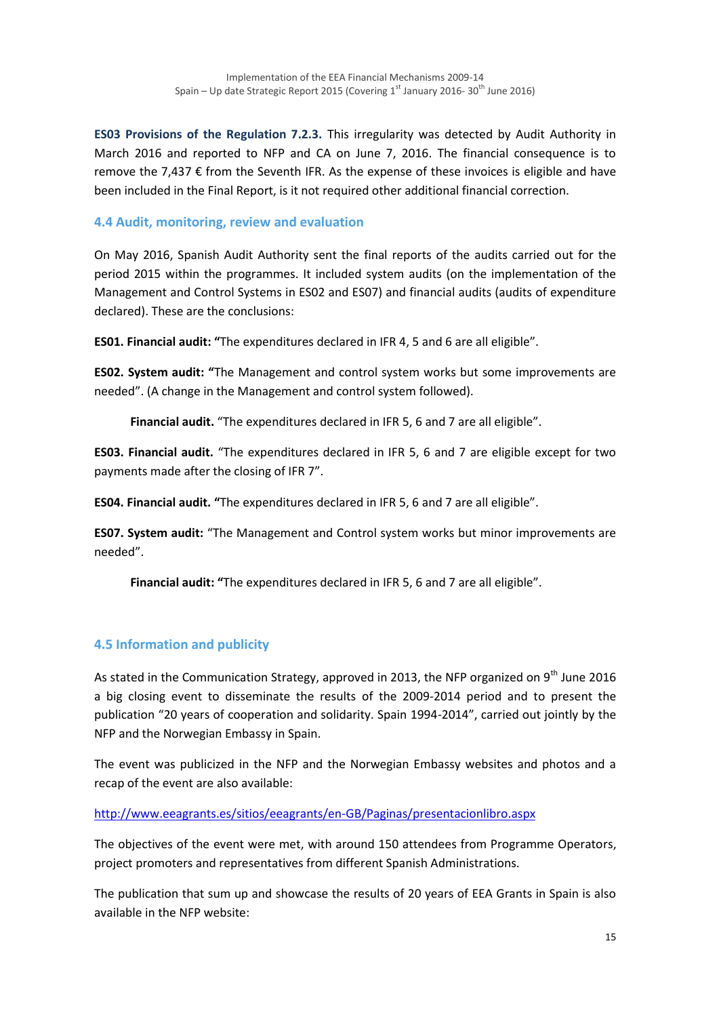**ES03 Provisions of the Regulation 7.2.3.** This irregularity was detected by Audit Authority in March 2016 and reported to NFP and CA on June 7, 2016. The financial consequence is to remove the 7,437 € from the Seventh IFR. As the expense of these invoices is eligible and have been included in the Final Report, is it not required other additional financial correction.

### **4.4 Audit, monitoring, review and evaluation**

On May 2016, Spanish Audit Authority sent the final reports of the audits carried out for the period 2015 within the programmes. It included system audits (on the implementation of the Management and Control Systems in ES02 and ES07) and financial audits (audits of expenditure declared). These are the conclusions:

**ES01. Financial audit: "**The expenditures declared in IFR 4, 5 and 6 are all eligible".

**ES02. System audit: "**The Management and control system works but some improvements are needed". (A change in the Management and control system followed).

**Financial audit.** "The expenditures declared in IFR 5, 6 and 7 are all eligible".

**ES03. Financial audit.** "The expenditures declared in IFR 5, 6 and 7 are eligible except for two payments made after the closing of IFR 7".

**ES04. Financial audit. "**The expenditures declared in IFR 5, 6 and 7 are all eligible".

**ES07. System audit:** "The Management and Control system works but minor improvements are needed".

**Financial audit: "**The expenditures declared in IFR 5, 6 and 7 are all eligible".

## **4.5 Information and publicity**

As stated in the Communication Strategy, approved in 2013, the NFP organized on 9<sup>th</sup> June 2016 a big closing event to disseminate the results of the 2009-2014 period and to present the publication "20 years of cooperation and solidarity. Spain 1994-2014", carried out jointly by the NFP and the Norwegian Embassy in Spain.

The event was publicized in the NFP and the Norwegian Embassy websites and photos and a recap of the event are also available:

### <http://www.eeagrants.es/sitios/eeagrants/en-GB/Paginas/presentacionlibro.aspx>

The objectives of the event were met, with around 150 attendees from Programme Operators, project promoters and representatives from different Spanish Administrations.

The publication that sum up and showcase the results of 20 years of EEA Grants in Spain is also available in the NFP website: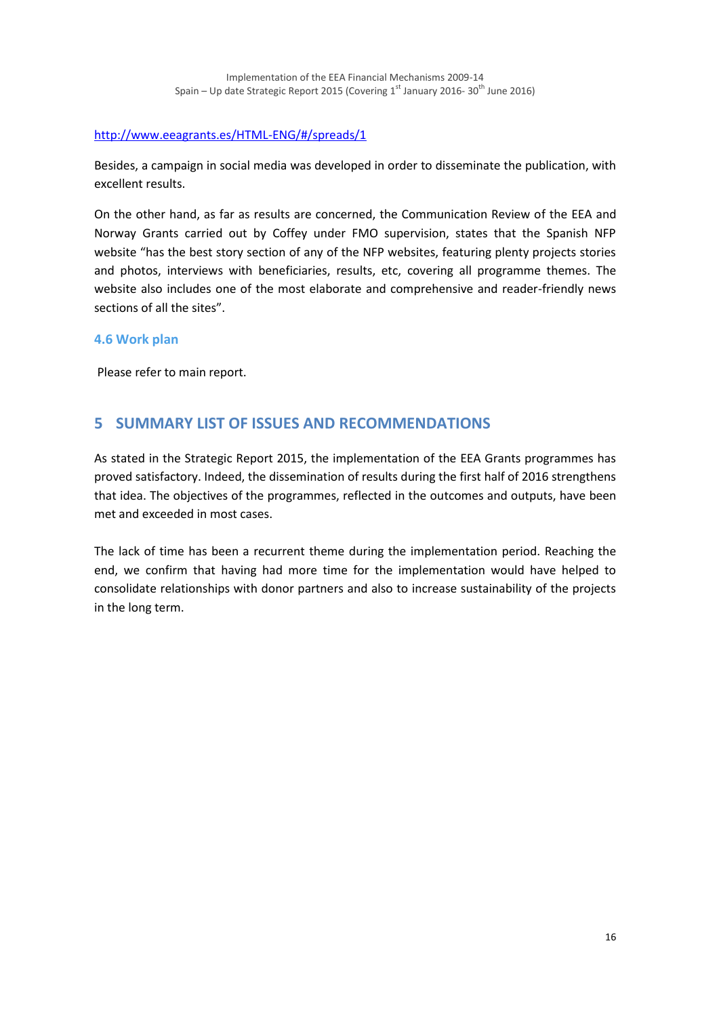#### <http://www.eeagrants.es/HTML-ENG/#/spreads/1>

Besides, a campaign in social media was developed in order to disseminate the publication, with excellent results.

On the other hand, as far as results are concerned, the Communication Review of the EEA and Norway Grants carried out by Coffey under FMO supervision, states that the Spanish NFP website "has the best story section of any of the NFP websites, featuring plenty projects stories and photos, interviews with beneficiaries, results, etc, covering all programme themes. The website also includes one of the most elaborate and comprehensive and reader-friendly news sections of all the sites".

#### **4.6 Work plan**

Please refer to main report.

## **5 SUMMARY LIST OF ISSUES AND RECOMMENDATIONS**

As stated in the Strategic Report 2015, the implementation of the EEA Grants programmes has proved satisfactory. Indeed, the dissemination of results during the first half of 2016 strengthens that idea. The objectives of the programmes, reflected in the outcomes and outputs, have been met and exceeded in most cases.

The lack of time has been a recurrent theme during the implementation period. Reaching the end, we confirm that having had more time for the implementation would have helped to consolidate relationships with donor partners and also to increase sustainability of the projects in the long term.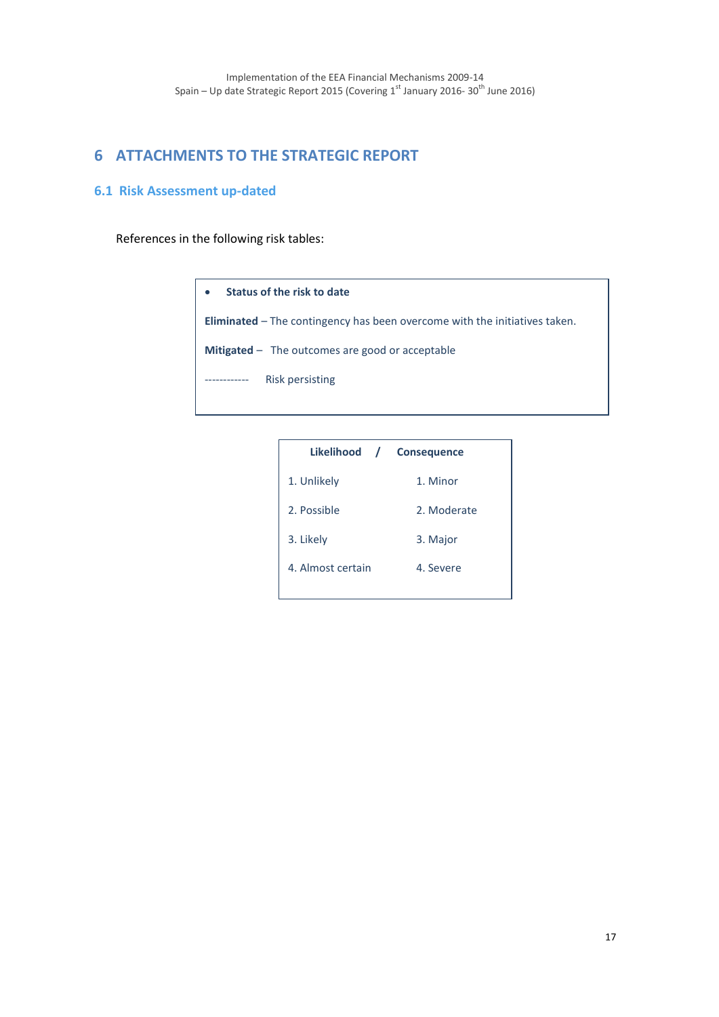# **6 ATTACHMENTS TO THE STRATEGIC REPORT**

### **6.1 Risk Assessment up-dated**

References in the following risk tables:

| Status of the risk to date<br>$\bullet$                                           |
|-----------------------------------------------------------------------------------|
| <b>Eliminated</b> – The contingency has been overcome with the initiatives taken. |
| <b>Mitigated</b> $-$ The outcomes are good or acceptable                          |
| Risk persisting<br>------------                                                   |
|                                                                                   |

| Likelihood / Consequence |             |
|--------------------------|-------------|
| 1. Unlikely              | 1. Minor    |
| 2. Possible              | 2. Moderate |
| 3. Likely                | 3. Major    |
| 4. Almost certain        | 4. Severe   |
|                          |             |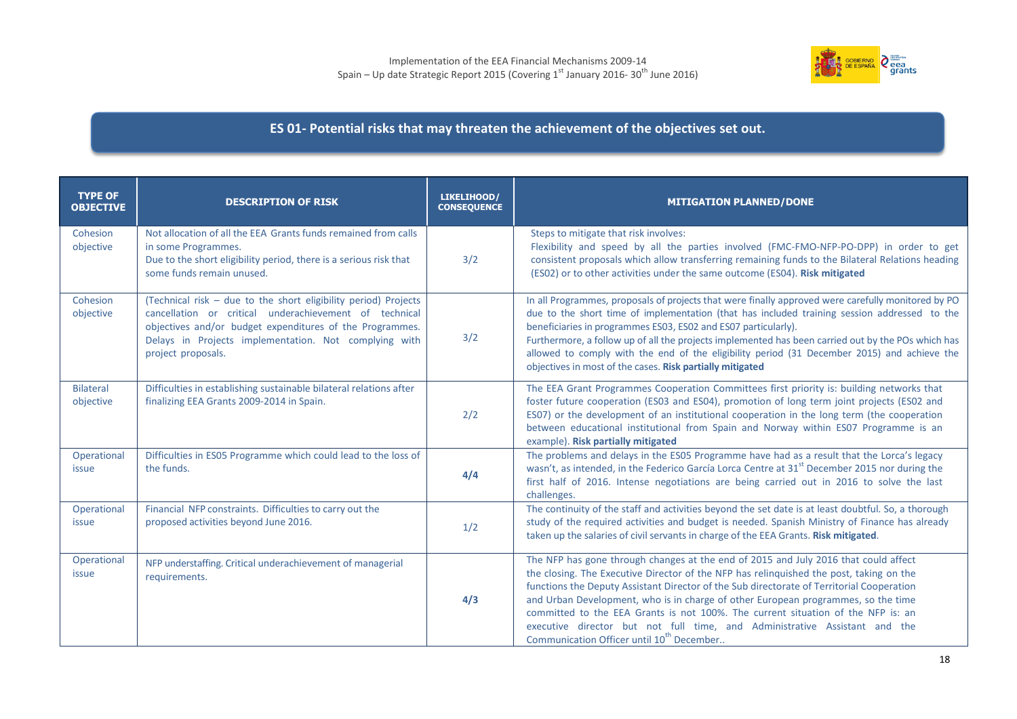

## **ES 01- Potential risks that may threaten the achievement of the objectives set out.**

| <b>TYPE OF</b><br><b>OBJECTIVE</b> | <b>DESCRIPTION OF RISK</b>                                                                                                                                                                                                                                           | LIKELIHOOD/<br><b>CONSEQUENCE</b> | <b>MITIGATION PLANNED/DONE</b>                                                                                                                                                                                                                                                                                                                                                                                                                                                                                                                                                              |
|------------------------------------|----------------------------------------------------------------------------------------------------------------------------------------------------------------------------------------------------------------------------------------------------------------------|-----------------------------------|---------------------------------------------------------------------------------------------------------------------------------------------------------------------------------------------------------------------------------------------------------------------------------------------------------------------------------------------------------------------------------------------------------------------------------------------------------------------------------------------------------------------------------------------------------------------------------------------|
| Cohesion<br>objective              | Not allocation of all the EEA Grants funds remained from calls<br>in some Programmes.<br>Due to the short eligibility period, there is a serious risk that<br>some funds remain unused.                                                                              | 3/2                               | Steps to mitigate that risk involves:<br>Flexibility and speed by all the parties involved (FMC-FMO-NFP-PO-DPP) in order to get<br>consistent proposals which allow transferring remaining funds to the Bilateral Relations heading<br>(ES02) or to other activities under the same outcome (ES04). Risk mitigated                                                                                                                                                                                                                                                                          |
| Cohesion<br>objective              | (Technical risk - due to the short eligibility period) Projects<br>cancellation or critical underachievement of technical<br>objectives and/or budget expenditures of the Programmes.<br>Delays in Projects implementation. Not complying with<br>project proposals. | 3/2                               | In all Programmes, proposals of projects that were finally approved were carefully monitored by PO<br>due to the short time of implementation (that has included training session addressed to the<br>beneficiaries in programmes ES03, ES02 and ES07 particularly).<br>Furthermore, a follow up of all the projects implemented has been carried out by the POs which has<br>allowed to comply with the end of the eligibility period (31 December 2015) and achieve the<br>objectives in most of the cases. Risk partially mitigated                                                      |
| <b>Bilateral</b><br>objective      | Difficulties in establishing sustainable bilateral relations after<br>finalizing EEA Grants 2009-2014 in Spain.                                                                                                                                                      | 2/2                               | The EEA Grant Programmes Cooperation Committees first priority is: building networks that<br>foster future cooperation (ES03 and ES04), promotion of long term joint projects (ES02 and<br>ES07) or the development of an institutional cooperation in the long term (the cooperation<br>between educational institutional from Spain and Norway within ES07 Programme is an<br>example). Risk partially mitigated                                                                                                                                                                          |
| Operational<br>issue               | Difficulties in ES05 Programme which could lead to the loss of<br>the funds.                                                                                                                                                                                         | 4/4                               | The problems and delays in the ES05 Programme have had as a result that the Lorca's legacy<br>wasn't, as intended, in the Federico García Lorca Centre at 31 <sup>st</sup> December 2015 nor during the<br>first half of 2016. Intense negotiations are being carried out in 2016 to solve the last<br>challenges.                                                                                                                                                                                                                                                                          |
| Operational<br><i>issue</i>        | Financial NFP constraints. Difficulties to carry out the<br>proposed activities beyond June 2016.                                                                                                                                                                    | 1/2                               | The continuity of the staff and activities beyond the set date is at least doubtful. So, a thorough<br>study of the required activities and budget is needed. Spanish Ministry of Finance has already<br>taken up the salaries of civil servants in charge of the EEA Grants. Risk mitigated.                                                                                                                                                                                                                                                                                               |
| Operational<br>issue               | NFP understaffing. Critical underachievement of managerial<br>requirements.                                                                                                                                                                                          | 4/3                               | The NFP has gone through changes at the end of 2015 and July 2016 that could affect<br>the closing. The Executive Director of the NFP has relinquished the post, taking on the<br>functions the Deputy Assistant Director of the Sub directorate of Territorial Cooperation<br>and Urban Development, who is in charge of other European programmes, so the time<br>committed to the EEA Grants is not 100%. The current situation of the NFP is: an<br>executive director but not full time, and Administrative Assistant and the<br>Communication Officer until 10 <sup>th</sup> December |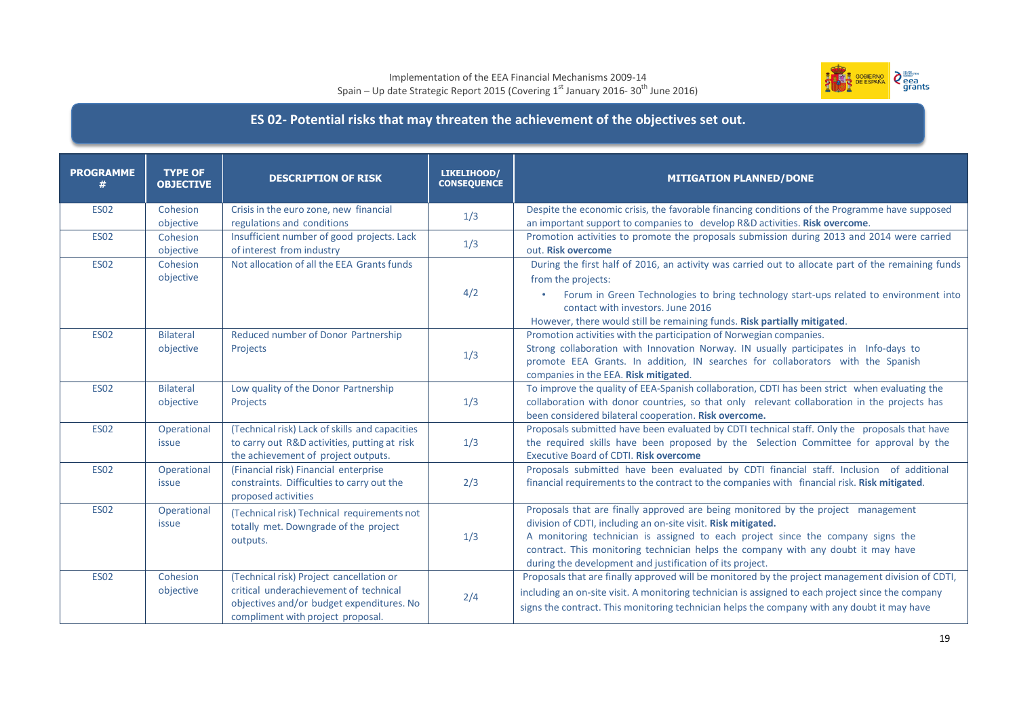#### Implementation of the EEA Financial Mechanisms 2009-14 Spain – Up date Strategic Report 2015 (Covering  $1^\text{st}$  January 2016- 30<sup>th</sup> June 2016)



## **ES 02- Potential risks that may threaten the achievement of the objectives set out.**

| <b>PROGRAMME</b><br># | <b>TYPE OF</b><br><b>OBJECTIVE</b> | <b>DESCRIPTION OF RISK</b>                                                                                                                                           | LIKELIHOOD/<br><b>CONSEQUENCE</b> | <b>MITIGATION PLANNED/DONE</b>                                                                                                                                                                                                                                                                                                                                                         |
|-----------------------|------------------------------------|----------------------------------------------------------------------------------------------------------------------------------------------------------------------|-----------------------------------|----------------------------------------------------------------------------------------------------------------------------------------------------------------------------------------------------------------------------------------------------------------------------------------------------------------------------------------------------------------------------------------|
| <b>ES02</b>           | Cohesion<br>objective              | Crisis in the euro zone, new financial<br>regulations and conditions                                                                                                 | 1/3                               | Despite the economic crisis, the favorable financing conditions of the Programme have supposed<br>an important support to companies to develop R&D activities. Risk overcome.                                                                                                                                                                                                          |
| <b>ES02</b>           | Cohesion<br>objective              | Insufficient number of good projects. Lack<br>of interest from industry                                                                                              | 1/3                               | Promotion activities to promote the proposals submission during 2013 and 2014 were carried<br>out. Risk overcome                                                                                                                                                                                                                                                                       |
| <b>ES02</b>           | Cohesion<br>objective              | Not allocation of all the EEA Grants funds                                                                                                                           | 4/2                               | During the first half of 2016, an activity was carried out to allocate part of the remaining funds<br>from the projects:<br>Forum in Green Technologies to bring technology start-ups related to environment into<br>contact with investors. June 2016<br>However, there would still be remaining funds. Risk partially mitigated.                                                     |
| <b>ES02</b>           | <b>Bilateral</b><br>objective      | Reduced number of Donor Partnership<br>Projects                                                                                                                      | 1/3                               | Promotion activities with the participation of Norwegian companies.<br>Strong collaboration with Innovation Norway. IN usually participates in Info-days to<br>promote EEA Grants. In addition, IN searches for collaborators with the Spanish<br>companies in the EEA. Risk mitigated.                                                                                                |
| <b>ES02</b>           | <b>Bilateral</b><br>objective      | Low quality of the Donor Partnership<br>Projects                                                                                                                     | 1/3                               | To improve the quality of EEA-Spanish collaboration, CDTI has been strict when evaluating the<br>collaboration with donor countries, so that only relevant collaboration in the projects has<br>been considered bilateral cooperation. Risk overcome.                                                                                                                                  |
| <b>ES02</b>           | Operational<br>issue               | (Technical risk) Lack of skills and capacities<br>to carry out R&D activities, putting at risk<br>the achievement of project outputs.                                | 1/3                               | Proposals submitted have been evaluated by CDTI technical staff. Only the proposals that have<br>the required skills have been proposed by the Selection Committee for approval by the<br><b>Executive Board of CDTI. Risk overcome</b>                                                                                                                                                |
| <b>ES02</b>           | Operational<br>issue               | (Financial risk) Financial enterprise<br>constraints. Difficulties to carry out the<br>proposed activities                                                           | 2/3                               | Proposals submitted have been evaluated by CDTI financial staff. Inclusion of additional<br>financial requirements to the contract to the companies with financial risk. Risk mitigated.                                                                                                                                                                                               |
| <b>ES02</b>           | Operational<br>issue               | (Technical risk) Technical requirements not<br>totally met. Downgrade of the project<br>outputs.                                                                     | 1/3                               | Proposals that are finally approved are being monitored by the project management<br>division of CDTI, including an on-site visit. Risk mitigated.<br>A monitoring technician is assigned to each project since the company signs the<br>contract. This monitoring technician helps the company with any doubt it may have<br>during the development and justification of its project. |
| <b>ES02</b>           | Cohesion<br>objective              | (Technical risk) Project cancellation or<br>critical underachievement of technical<br>objectives and/or budget expenditures. No<br>compliment with project proposal. | 2/4                               | Proposals that are finally approved will be monitored by the project management division of CDTI,<br>including an on-site visit. A monitoring technician is assigned to each project since the company<br>signs the contract. This monitoring technician helps the company with any doubt it may have                                                                                  |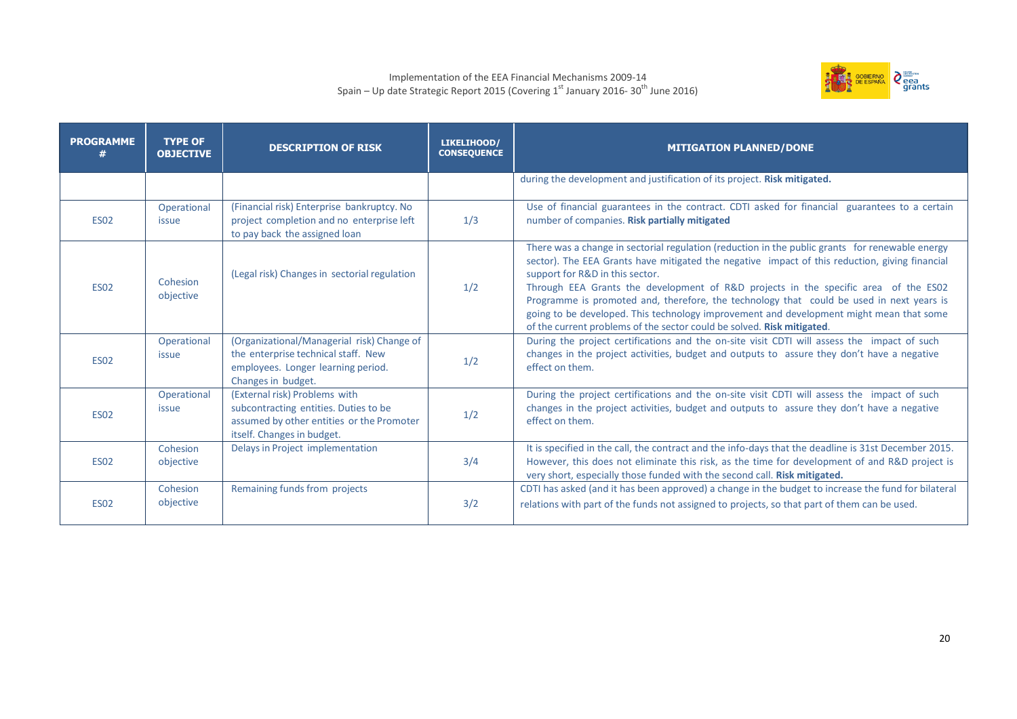#### Implementation of the EEA Financial Mechanisms 2009-14 Spain – Up date Strategic Report 2015 (Covering  $1^\text{st}$  January 2016- 30<sup>th</sup> June 2016)



| <b>PROGRAMME</b> | <b>TYPE OF</b><br><b>OBJECTIVE</b> | <b>DESCRIPTION OF RISK</b>                                                                                                                        | LIKELIHOOD/<br><b>CONSEQUENCE</b> | <b>MITIGATION PLANNED/DONE</b>                                                                                                                                                                                                                                                                                                                                                                                                                                                                                                                                                               |
|------------------|------------------------------------|---------------------------------------------------------------------------------------------------------------------------------------------------|-----------------------------------|----------------------------------------------------------------------------------------------------------------------------------------------------------------------------------------------------------------------------------------------------------------------------------------------------------------------------------------------------------------------------------------------------------------------------------------------------------------------------------------------------------------------------------------------------------------------------------------------|
|                  |                                    |                                                                                                                                                   |                                   | during the development and justification of its project. Risk mitigated.                                                                                                                                                                                                                                                                                                                                                                                                                                                                                                                     |
| <b>ES02</b>      | Operational<br>issue               | (Financial risk) Enterprise bankruptcy. No<br>project completion and no enterprise left<br>to pay back the assigned loan                          | 1/3                               | Use of financial guarantees in the contract. CDTI asked for financial guarantees to a certain<br>number of companies. Risk partially mitigated                                                                                                                                                                                                                                                                                                                                                                                                                                               |
| <b>ES02</b>      | Cohesion<br>objective              | (Legal risk) Changes in sectorial regulation                                                                                                      | 1/2                               | There was a change in sectorial regulation (reduction in the public grants for renewable energy<br>sector). The EEA Grants have mitigated the negative impact of this reduction, giving financial<br>support for R&D in this sector.<br>Through EEA Grants the development of R&D projects in the specific area of the ES02<br>Programme is promoted and, therefore, the technology that could be used in next years is<br>going to be developed. This technology improvement and development might mean that some<br>of the current problems of the sector could be solved. Risk mitigated. |
| <b>ES02</b>      | Operational<br><i>issue</i>        | (Organizational/Managerial risk) Change of<br>the enterprise technical staff. New<br>employees. Longer learning period.<br>Changes in budget.     | 1/2                               | During the project certifications and the on-site visit CDTI will assess the impact of such<br>changes in the project activities, budget and outputs to assure they don't have a negative<br>effect on them.                                                                                                                                                                                                                                                                                                                                                                                 |
| <b>ES02</b>      | Operational<br><i>issue</i>        | (External risk) Problems with<br>subcontracting entities. Duties to be<br>assumed by other entities or the Promoter<br>itself. Changes in budget. | 1/2                               | During the project certifications and the on-site visit CDTI will assess the impact of such<br>changes in the project activities, budget and outputs to assure they don't have a negative<br>effect on them.                                                                                                                                                                                                                                                                                                                                                                                 |
| <b>ES02</b>      | Cohesion<br>objective              | Delays in Project implementation                                                                                                                  | 3/4                               | It is specified in the call, the contract and the info-days that the deadline is 31st December 2015.<br>However, this does not eliminate this risk, as the time for development of and R&D project is<br>very short, especially those funded with the second call. Risk mitigated.                                                                                                                                                                                                                                                                                                           |
| <b>ES02</b>      | Cohesion<br>objective              | Remaining funds from projects                                                                                                                     | 3/2                               | CDTI has asked (and it has been approved) a change in the budget to increase the fund for bilateral<br>relations with part of the funds not assigned to projects, so that part of them can be used.                                                                                                                                                                                                                                                                                                                                                                                          |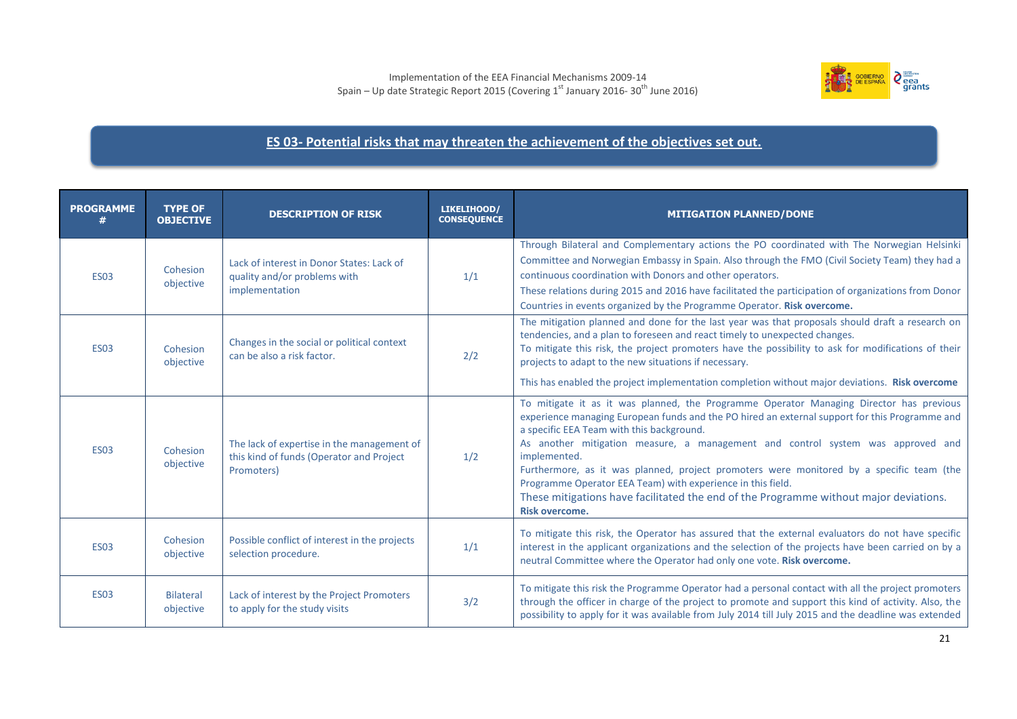

### **ES 03- Potential risks that may threaten the achievement of the objectives set out.**

| <b>PROGRAMME</b> | <b>TYPE OF</b><br><b>OBJECTIVE</b> | <b>DESCRIPTION OF RISK</b>                                                                           | LIKELIHOOD/<br><b>CONSEQUENCE</b> | <b>MITIGATION PLANNED/DONE</b>                                                                                                                                                                                                                                                                                                                                                                                                                                                                                                                                                                                         |
|------------------|------------------------------------|------------------------------------------------------------------------------------------------------|-----------------------------------|------------------------------------------------------------------------------------------------------------------------------------------------------------------------------------------------------------------------------------------------------------------------------------------------------------------------------------------------------------------------------------------------------------------------------------------------------------------------------------------------------------------------------------------------------------------------------------------------------------------------|
| <b>ES03</b>      | Cohesion<br>objective              | Lack of interest in Donor States: Lack of<br>quality and/or problems with<br>implementation          | 1/1                               | Through Bilateral and Complementary actions the PO coordinated with The Norwegian Helsinki<br>Committee and Norwegian Embassy in Spain. Also through the FMO (Civil Society Team) they had a<br>continuous coordination with Donors and other operators.<br>These relations during 2015 and 2016 have facilitated the participation of organizations from Donor<br>Countries in events organized by the Programme Operator. Risk overcome.                                                                                                                                                                             |
| <b>ES03</b>      | Cohesion<br>objective              | Changes in the social or political context<br>can be also a risk factor.                             | 2/2                               | The mitigation planned and done for the last year was that proposals should draft a research on<br>tendencies, and a plan to foreseen and react timely to unexpected changes.<br>To mitigate this risk, the project promoters have the possibility to ask for modifications of their<br>projects to adapt to the new situations if necessary.<br>This has enabled the project implementation completion without major deviations. Risk overcome                                                                                                                                                                        |
| <b>ES03</b>      | Cohesion<br>objective              | The lack of expertise in the management of<br>this kind of funds (Operator and Project<br>Promoters) | 1/2                               | To mitigate it as it was planned, the Programme Operator Managing Director has previous<br>experience managing European funds and the PO hired an external support for this Programme and<br>a specific EEA Team with this background.<br>As another mitigation measure, a management and control system was approved and<br>implemented.<br>Furthermore, as it was planned, project promoters were monitored by a specific team (the<br>Programme Operator EEA Team) with experience in this field.<br>These mitigations have facilitated the end of the Programme without major deviations.<br><b>Risk overcome.</b> |
| <b>ES03</b>      | Cohesion<br>objective              | Possible conflict of interest in the projects<br>selection procedure.                                | 1/1                               | To mitigate this risk, the Operator has assured that the external evaluators do not have specific<br>interest in the applicant organizations and the selection of the projects have been carried on by a<br>neutral Committee where the Operator had only one vote. Risk overcome.                                                                                                                                                                                                                                                                                                                                     |
| <b>ES03</b>      | <b>Bilateral</b><br>objective      | Lack of interest by the Project Promoters<br>to apply for the study visits                           | 3/2                               | To mitigate this risk the Programme Operator had a personal contact with all the project promoters<br>through the officer in charge of the project to promote and support this kind of activity. Also, the<br>possibility to apply for it was available from July 2014 till July 2015 and the deadline was extended                                                                                                                                                                                                                                                                                                    |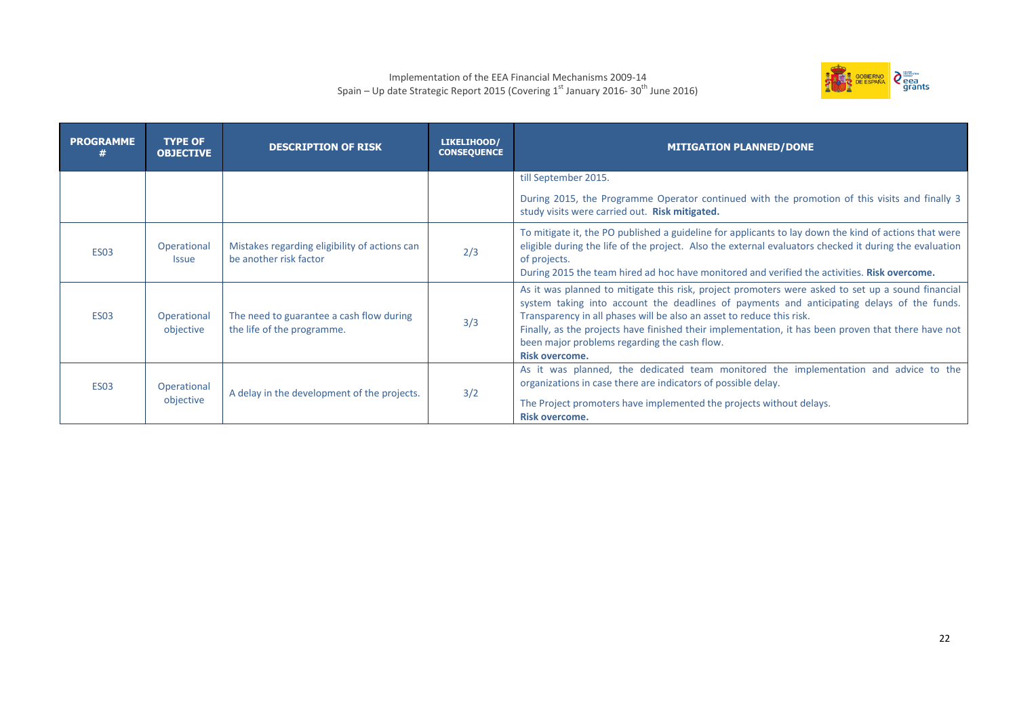#### Implementation of the EEA Financial Mechanisms 2009-14 Spain – Up date Strategic Report 2015 (Covering  $1^\text{st}$  January 2016- 30<sup>th</sup> June 2016)



| <b>PROGRAMME</b> | <b>TYPE OF</b><br><b>OBJECTIVE</b> | <b>DESCRIPTION OF RISK</b>                                              | LIKELIHOOD/<br><b>CONSEQUENCE</b> | <b>MITIGATION PLANNED/DONE</b>                                                                                                                                                                                                                                                                                                                                                                                                                           |
|------------------|------------------------------------|-------------------------------------------------------------------------|-----------------------------------|----------------------------------------------------------------------------------------------------------------------------------------------------------------------------------------------------------------------------------------------------------------------------------------------------------------------------------------------------------------------------------------------------------------------------------------------------------|
|                  |                                    |                                                                         |                                   | till September 2015.                                                                                                                                                                                                                                                                                                                                                                                                                                     |
|                  |                                    |                                                                         |                                   | During 2015, the Programme Operator continued with the promotion of this visits and finally 3<br>study visits were carried out. Risk mitigated.                                                                                                                                                                                                                                                                                                          |
| <b>ES03</b>      | Operational<br><b>Issue</b>        | Mistakes regarding eligibility of actions can<br>be another risk factor | 2/3                               | To mitigate it, the PO published a guideline for applicants to lay down the kind of actions that were<br>eligible during the life of the project. Also the external evaluators checked it during the evaluation<br>of projects.<br>During 2015 the team hired ad hoc have monitored and verified the activities. Risk overcome.                                                                                                                          |
| <b>ES03</b>      | Operational<br>objective           | The need to guarantee a cash flow during<br>the life of the programme.  | 3/3                               | As it was planned to mitigate this risk, project promoters were asked to set up a sound financial<br>system taking into account the deadlines of payments and anticipating delays of the funds.<br>Transparency in all phases will be also an asset to reduce this risk.<br>Finally, as the projects have finished their implementation, it has been proven that there have not<br>been major problems regarding the cash flow.<br><b>Risk overcome.</b> |
| <b>ES03</b>      | Operational<br>objective           | A delay in the development of the projects.                             | 3/2                               | As it was planned, the dedicated team monitored the implementation and advice to the<br>organizations in case there are indicators of possible delay.<br>The Project promoters have implemented the projects without delays.<br><b>Risk overcome.</b>                                                                                                                                                                                                    |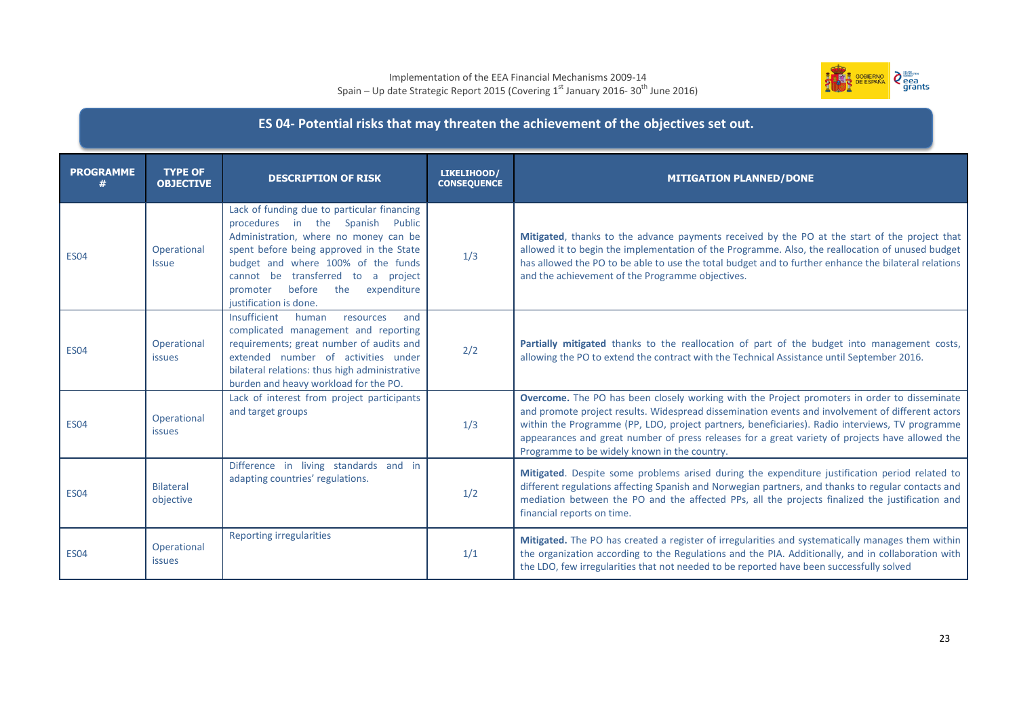#### Implementation of the EEA Financial Mechanisms 2009-14 Spain – Up date Strategic Report 2015 (Covering  $1^\text{st}$  January 2016- 30<sup>th</sup> June 2016)



## **ES 04- Potential risks that may threaten the achievement of the objectives set out.**

| <b>PROGRAMME</b> | <b>TYPE OF</b><br><b>OBJECTIVE</b> | <b>DESCRIPTION OF RISK</b>                                                                                                                                                                                                                                                                                             | LIKELIHOOD/<br><b>CONSEQUENCE</b> | <b>MITIGATION PLANNED/DONE</b>                                                                                                                                                                                                                                                                                                                                                                                                                         |
|------------------|------------------------------------|------------------------------------------------------------------------------------------------------------------------------------------------------------------------------------------------------------------------------------------------------------------------------------------------------------------------|-----------------------------------|--------------------------------------------------------------------------------------------------------------------------------------------------------------------------------------------------------------------------------------------------------------------------------------------------------------------------------------------------------------------------------------------------------------------------------------------------------|
| <b>ES04</b>      | Operational<br><b>Issue</b>        | Lack of funding due to particular financing<br>procedures in the Spanish Public<br>Administration, where no money can be<br>spent before being approved in the State<br>budget and where 100% of the funds<br>cannot be transferred to a project<br>before<br>the<br>expenditure<br>promoter<br>justification is done. | 1/3                               | Mitigated, thanks to the advance payments received by the PO at the start of the project that<br>allowed it to begin the implementation of the Programme. Also, the reallocation of unused budget<br>has allowed the PO to be able to use the total budget and to further enhance the bilateral relations<br>and the achievement of the Programme objectives.                                                                                          |
| <b>ES04</b>      | Operational<br><i>issues</i>       | Insufficient<br>human<br>resources<br>and<br>complicated management and reporting<br>requirements; great number of audits and<br>extended number of activities under<br>bilateral relations: thus high administrative<br>burden and heavy workload for the PO.                                                         | 2/2                               | Partially mitigated thanks to the reallocation of part of the budget into management costs,<br>allowing the PO to extend the contract with the Technical Assistance until September 2016.                                                                                                                                                                                                                                                              |
| <b>ES04</b>      | Operational<br><i>issues</i>       | Lack of interest from project participants<br>and target groups                                                                                                                                                                                                                                                        | 1/3                               | Overcome. The PO has been closely working with the Project promoters in order to disseminate<br>and promote project results. Widespread dissemination events and involvement of different actors<br>within the Programme (PP, LDO, project partners, beneficiaries). Radio interviews, TV programme<br>appearances and great number of press releases for a great variety of projects have allowed the<br>Programme to be widely known in the country. |
| <b>ES04</b>      | <b>Bilateral</b><br>objective      | Difference in living standards and in<br>adapting countries' regulations.                                                                                                                                                                                                                                              | 1/2                               | Mitigated. Despite some problems arised during the expenditure justification period related to<br>different regulations affecting Spanish and Norwegian partners, and thanks to regular contacts and<br>mediation between the PO and the affected PPs, all the projects finalized the justification and<br>financial reports on time.                                                                                                                  |
| <b>ES04</b>      | Operational<br><i>issues</i>       | <b>Reporting irregularities</b>                                                                                                                                                                                                                                                                                        | 1/1                               | Mitigated. The PO has created a register of irregularities and systematically manages them within<br>the organization according to the Regulations and the PIA. Additionally, and in collaboration with<br>the LDO, few irregularities that not needed to be reported have been successfully solved                                                                                                                                                    |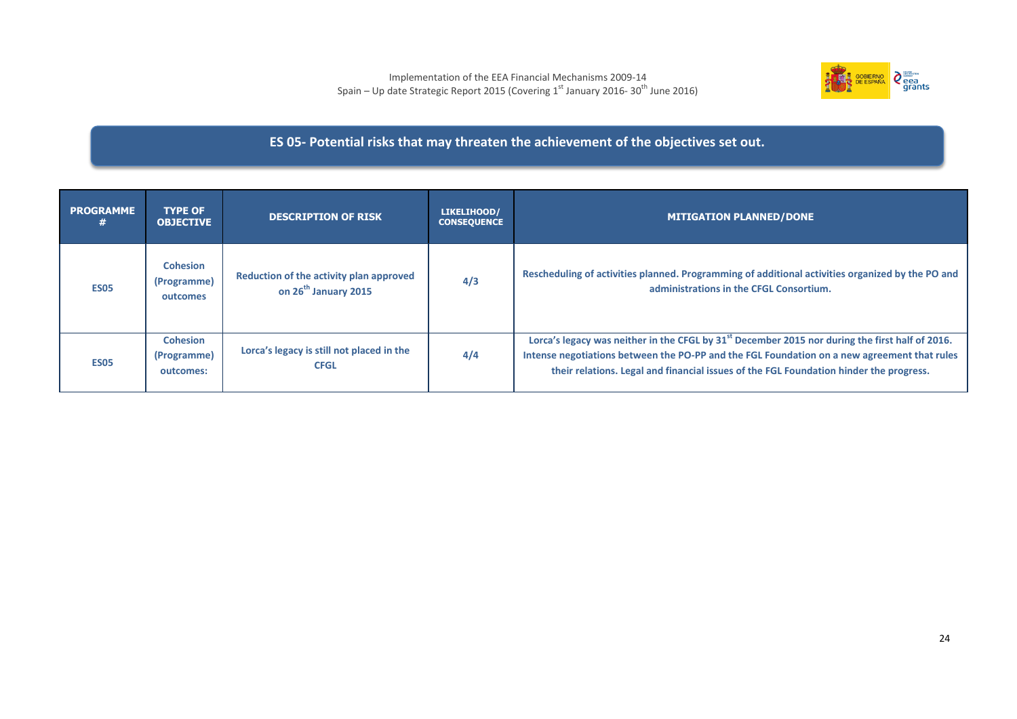

## **ES 05- Potential risks that may threaten the achievement of the objectives set out.**

| <b>PROGRAMME</b> | <b>TYPE OF</b><br><b>OBJECTIVE</b>          | <b>DESCRIPTION OF RISK</b>                                                  | LIKELIHOOD/<br><b>CONSEQUENCE</b> | <b>MITIGATION PLANNED/DONE</b>                                                                                                                                                                                                                                                                       |
|------------------|---------------------------------------------|-----------------------------------------------------------------------------|-----------------------------------|------------------------------------------------------------------------------------------------------------------------------------------------------------------------------------------------------------------------------------------------------------------------------------------------------|
| <b>ES05</b>      | <b>Cohesion</b><br>(Programme)<br>outcomes  | Reduction of the activity plan approved<br>on 26 <sup>th</sup> January 2015 | 4/3                               | Rescheduling of activities planned. Programming of additional activities organized by the PO and<br>administrations in the CFGL Consortium.                                                                                                                                                          |
| <b>ES05</b>      | <b>Cohesion</b><br>(Programme)<br>outcomes: | Lorca's legacy is still not placed in the<br><b>CFGL</b>                    | 4/4                               | Lorca's legacy was neither in the CFGL by 31 <sup>st</sup> December 2015 nor during the first half of 2016.<br>Intense negotiations between the PO-PP and the FGL Foundation on a new agreement that rules<br>their relations. Legal and financial issues of the FGL Foundation hinder the progress. |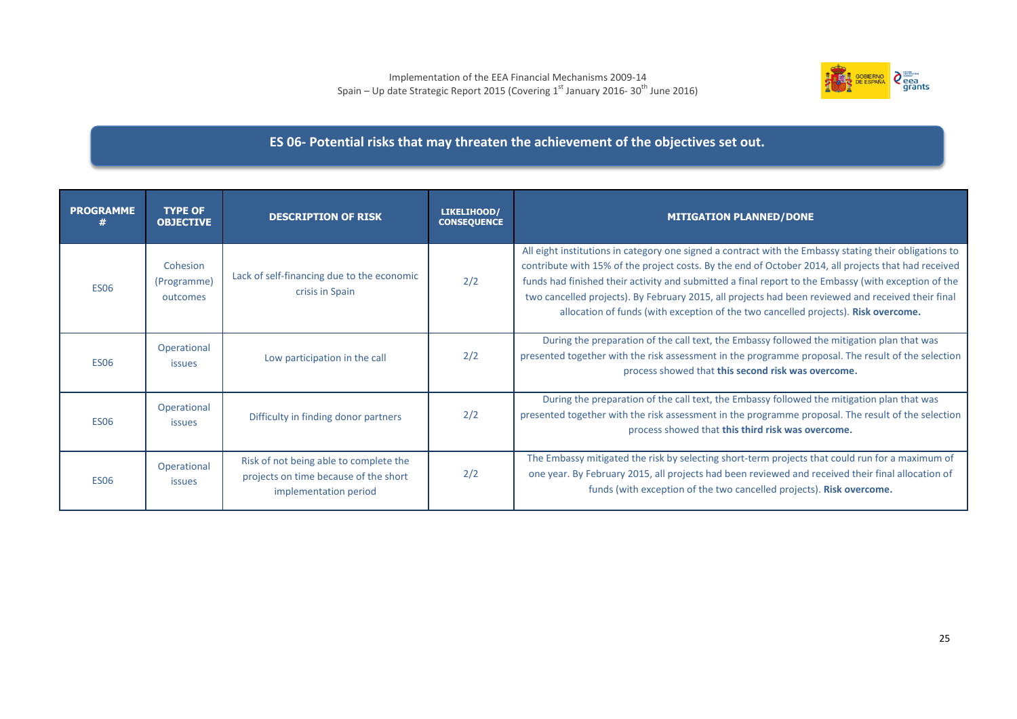

## **ES 06- Potential risks that may threaten the achievement of the objectives set out.**

| <b>PROGRAMME</b> | <b>TYPE OF</b><br><b>OBJECTIVE</b>  | <b>DESCRIPTION OF RISK</b>                                                                               | LIKELIHOOD/<br><b>CONSEQUENCE</b> | <b>MITIGATION PLANNED/DONE</b>                                                                                                                                                                                                                                                                                                                                                                                                                                                                                     |
|------------------|-------------------------------------|----------------------------------------------------------------------------------------------------------|-----------------------------------|--------------------------------------------------------------------------------------------------------------------------------------------------------------------------------------------------------------------------------------------------------------------------------------------------------------------------------------------------------------------------------------------------------------------------------------------------------------------------------------------------------------------|
| <b>ES06</b>      | Cohesion<br>(Programme)<br>outcomes | Lack of self-financing due to the economic<br>crisis in Spain                                            | 2/2                               | All eight institutions in category one signed a contract with the Embassy stating their obligations to<br>contribute with 15% of the project costs. By the end of October 2014, all projects that had received<br>funds had finished their activity and submitted a final report to the Embassy (with exception of the<br>two cancelled projects). By February 2015, all projects had been reviewed and received their final<br>allocation of funds (with exception of the two cancelled projects). Risk overcome. |
| <b>ES06</b>      | Operational<br><i>issues</i>        | Low participation in the call                                                                            | 2/2                               | During the preparation of the call text, the Embassy followed the mitigation plan that was<br>presented together with the risk assessment in the programme proposal. The result of the selection<br>process showed that this second risk was overcome.                                                                                                                                                                                                                                                             |
| <b>ES06</b>      | Operational<br><i>issues</i>        | Difficulty in finding donor partners                                                                     | 2/2                               | During the preparation of the call text, the Embassy followed the mitigation plan that was<br>presented together with the risk assessment in the programme proposal. The result of the selection<br>process showed that this third risk was overcome.                                                                                                                                                                                                                                                              |
| <b>ES06</b>      | Operational<br>issues               | Risk of not being able to complete the<br>projects on time because of the short<br>implementation period | 2/2                               | The Embassy mitigated the risk by selecting short-term projects that could run for a maximum of<br>one year. By February 2015, all projects had been reviewed and received their final allocation of<br>funds (with exception of the two cancelled projects). Risk overcome.                                                                                                                                                                                                                                       |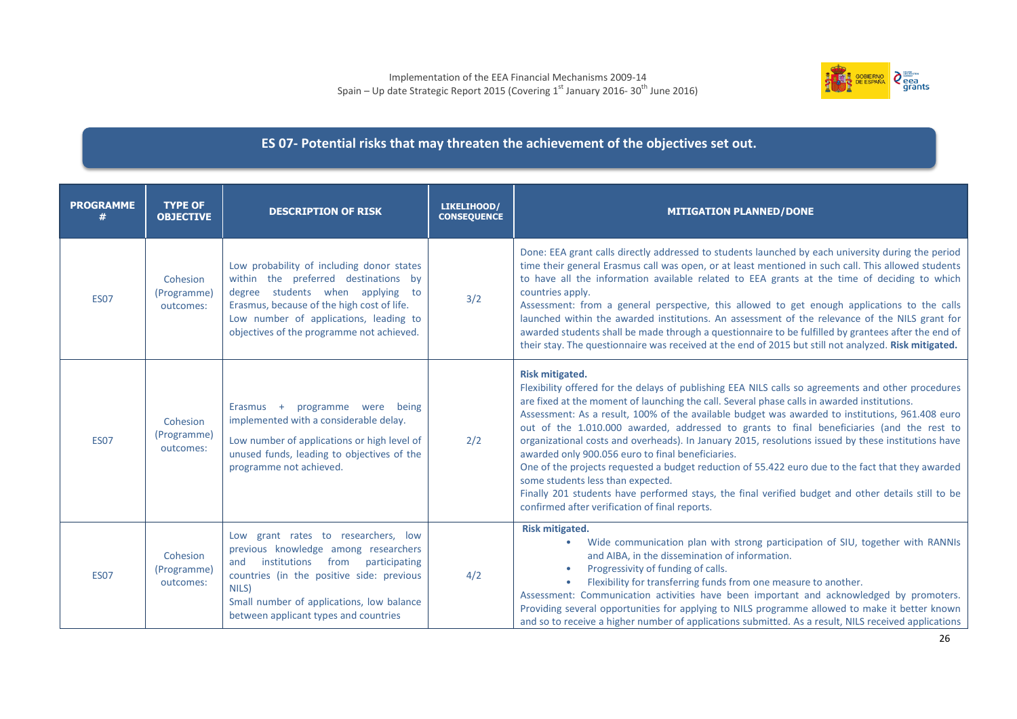

## **ES 07- Potential risks that may threaten the achievement of the objectives set out.**

| <b>PROGRAMME</b> | <b>TYPE OF</b><br><b>OBJECTIVE</b>   | <b>DESCRIPTION OF RISK</b>                                                                                                                                                                                                                                              | LIKELIHOOD/<br><b>CONSEQUENCE</b> | <b>MITIGATION PLANNED/DONE</b>                                                                                                                                                                                                                                                                                                                                                                                                                                                                                                                                                                                                                                                                                                                                                                                                                                                            |
|------------------|--------------------------------------|-------------------------------------------------------------------------------------------------------------------------------------------------------------------------------------------------------------------------------------------------------------------------|-----------------------------------|-------------------------------------------------------------------------------------------------------------------------------------------------------------------------------------------------------------------------------------------------------------------------------------------------------------------------------------------------------------------------------------------------------------------------------------------------------------------------------------------------------------------------------------------------------------------------------------------------------------------------------------------------------------------------------------------------------------------------------------------------------------------------------------------------------------------------------------------------------------------------------------------|
| <b>ES07</b>      | Cohesion<br>(Programme)<br>outcomes: | Low probability of including donor states<br>within the preferred destinations by<br>degree students when applying<br>to<br>Erasmus, because of the high cost of life.<br>Low number of applications, leading to<br>objectives of the programme not achieved.           | 3/2                               | Done: EEA grant calls directly addressed to students launched by each university during the period<br>time their general Erasmus call was open, or at least mentioned in such call. This allowed students<br>to have all the information available related to EEA grants at the time of deciding to which<br>countries apply.<br>Assessment: from a general perspective, this allowed to get enough applications to the calls<br>launched within the awarded institutions. An assessment of the relevance of the NILS grant for<br>awarded students shall be made through a questionnaire to be fulfilled by grantees after the end of<br>their stay. The questionnaire was received at the end of 2015 but still not analyzed. Risk mitigated.                                                                                                                                           |
| <b>ES07</b>      | Cohesion<br>(Programme)<br>outcomes: | programme were<br>being<br>$E$ rasmus +<br>implemented with a considerable delay.<br>Low number of applications or high level of<br>unused funds, leading to objectives of the<br>programme not achieved.                                                               | 2/2                               | <b>Risk mitigated.</b><br>Flexibility offered for the delays of publishing EEA NILS calls so agreements and other procedures<br>are fixed at the moment of launching the call. Several phase calls in awarded institutions.<br>Assessment: As a result, 100% of the available budget was awarded to institutions, 961.408 euro<br>out of the 1.010.000 awarded, addressed to grants to final beneficiaries (and the rest to<br>organizational costs and overheads). In January 2015, resolutions issued by these institutions have<br>awarded only 900.056 euro to final beneficiaries.<br>One of the projects requested a budget reduction of 55.422 euro due to the fact that they awarded<br>some students less than expected.<br>Finally 201 students have performed stays, the final verified budget and other details still to be<br>confirmed after verification of final reports. |
| <b>ES07</b>      | Cohesion<br>(Programme)<br>outcomes: | Low grant rates to researchers, low<br>previous knowledge among researchers<br>institutions<br>from<br>participating<br>and<br>countries (in the positive side: previous<br>NILS)<br>Small number of applications, low balance<br>between applicant types and countries | 4/2                               | <b>Risk mitigated.</b><br>Wide communication plan with strong participation of SIU, together with RANNIs<br>and AIBA, in the dissemination of information.<br>Progressivity of funding of calls.<br>Flexibility for transferring funds from one measure to another.<br>Assessment: Communication activities have been important and acknowledged by promoters.<br>Providing several opportunities for applying to NILS programme allowed to make it better known<br>and so to receive a higher number of applications submitted. As a result, NILS received applications                                                                                                                                                                                                                                                                                                                  |